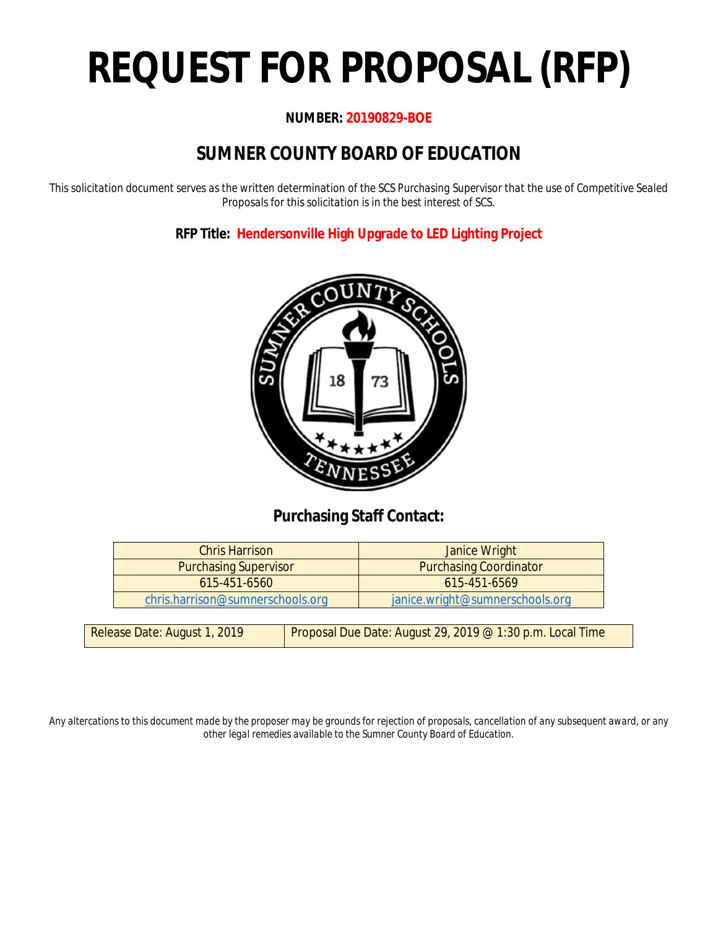# **REQUEST FOR PROPOSAL (RFP)**

### **NUMBER: 20190829-BOE**

# **SUMNER COUNTY BOARD OF EDUCATION**

*This solicitation document serves as the written determination of the SCS Purchasing Supervisor that the use of Competitive Sealed Proposals for this solicitation is in the best interest of SCS.*

**RFP Title: Hendersonville High Upgrade to LED Lighting Project**



### **Purchasing Staff Contact:**

| <b>Chris Harrison</b>            | Janice Wright                   |
|----------------------------------|---------------------------------|
| <b>Purchasing Supervisor</b>     | <b>Purchasing Coordinator</b>   |
| 615-451-6560                     | $615 - 451 - 6569$              |
| chris.harrison@sumnerschools.org | janice.wright@sumnerschools.org |
|                                  |                                 |

| Release Date: August 1, 2019 | Proposal Due Date: August 29, 2019 @ 1:30 p.m. Local Time |
|------------------------------|-----------------------------------------------------------|
|                              |                                                           |

*Any altercations to this document made by the proposer may be grounds for rejection of proposals, cancellation of any subsequent award, or any other legal remedies available to the Sumner County Board of Education.*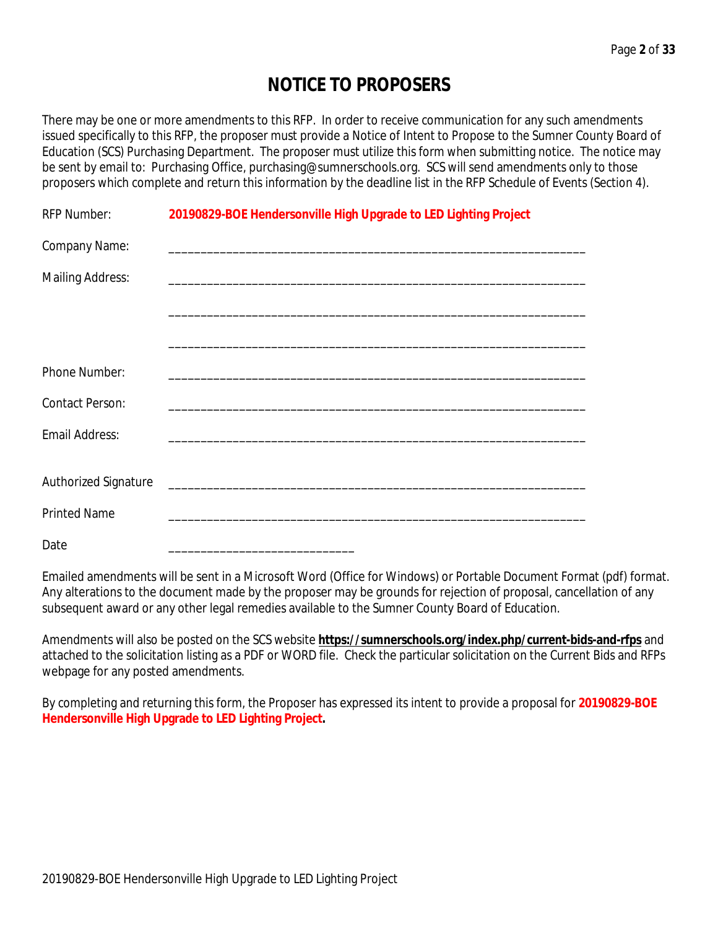# **NOTICE TO PROPOSERS**

There may be one or more amendments to this RFP. In order to receive communication for any such amendments issued specifically to this RFP, the proposer must provide a Notice of Intent to Propose to the Sumner County Board of Education (SCS) Purchasing Department. The proposer must utilize this form when submitting notice. The notice may be sent by email to: Purchasing Office, purchasing@sumnerschools.org. SCS will send amendments only to those proposers which complete and return this information by the deadline list in the RFP Schedule of Events (Section 4).

| <b>RFP Number:</b>      | 20190829-BOE Hendersonville High Upgrade to LED Lighting Project |
|-------------------------|------------------------------------------------------------------|
| Company Name:           |                                                                  |
| <b>Mailing Address:</b> |                                                                  |
|                         |                                                                  |
|                         |                                                                  |
| Phone Number:           |                                                                  |
| Contact Person:         |                                                                  |
| Email Address:          |                                                                  |
|                         |                                                                  |
| Authorized Signature    |                                                                  |
| <b>Printed Name</b>     |                                                                  |
| Date                    |                                                                  |

Emailed amendments will be sent in a Microsoft Word (Office for Windows) or Portable Document Format (pdf) format. Any alterations to the document made by the proposer may be grounds for rejection of proposal, cancellation of any subsequent award or any other legal remedies available to the Sumner County Board of Education.

Amendments will also be posted on the SCS website **https://sumnerschools.org/index.php/current-bids-and-rfps** and attached to the solicitation listing as a PDF or WORD file. Check the particular solicitation on the Current Bids and RFPs webpage for any posted amendments.

By completing and returning this form, the Proposer has expressed its intent to provide a proposal for **20190829-BOE Hendersonville High Upgrade to LED Lighting Project.**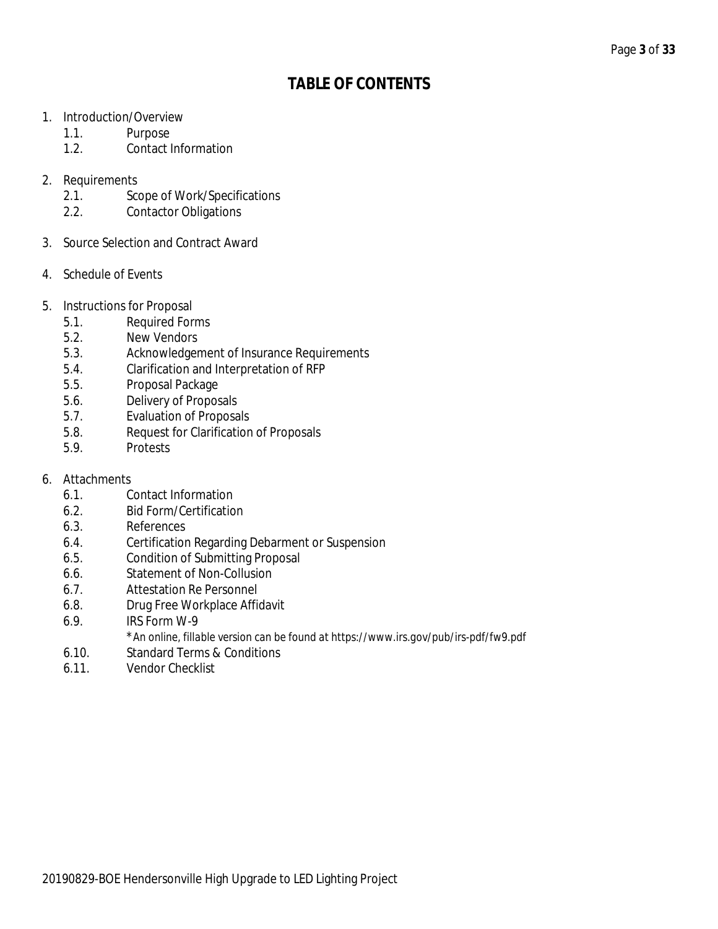## **TABLE OF CONTENTS**

- 1. Introduction/Overview
	- 1.1. Purpose
	- 1.2. Contact Information
- 2. Requirements
	- 2.1. Scope of Work/Specifications
	- 2.2. Contactor Obligations
- 3. Source Selection and Contract Award
- 4. Schedule of Events
- 5. Instructions for Proposal
	- 5.1. Required Forms
	- 5.2. New Vendors
	- 5.3. Acknowledgement of Insurance Requirements
	- 5.4. Clarification and Interpretation of RFP
	- 5.5. Proposal Package
	- 5.6. Delivery of Proposals
	- 5.7. Evaluation of Proposals
	- 5.8. Request for Clarification of Proposals
	- 5.9. Protests
- 6. Attachments
	- 6.1. Contact Information
	- 6.2. Bid Form/Certification
	- 6.3. References
	- 6.4. Certification Regarding Debarment or Suspension
	- 6.5. Condition of Submitting Proposal
	- 6.6. Statement of Non-Collusion
	- 6.7. Attestation Re Personnel
	- 6.8. Drug Free Workplace Affidavit
	- 6.9. IRS Form W-9
	- \**An online, fillable version can be found at https://www.irs.gov/pub/irs-pdf/fw9.pdf*
	- 6.10. Standard Terms & Conditions
	- 6.11. Vendor Checklist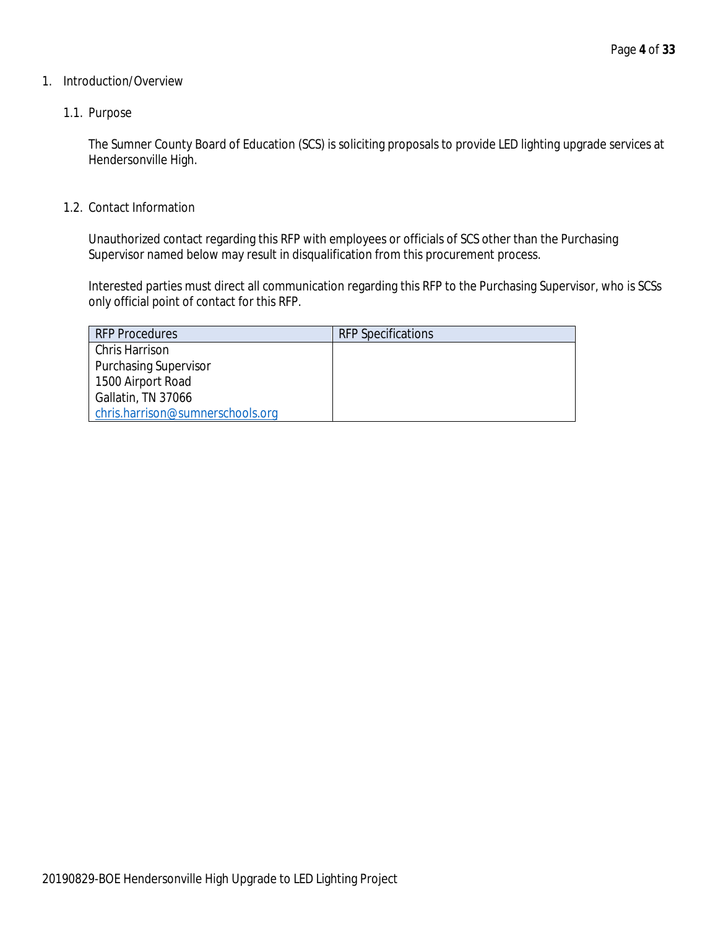### 1. Introduction/Overview

### 1.1. Purpose

The Sumner County Board of Education (SCS) is soliciting proposals to provide LED lighting upgrade services at Hendersonville High.

1.2. Contact Information

Unauthorized contact regarding this RFP with employees or officials of SCS other than the Purchasing Supervisor named below may result in disqualification from this procurement process.

Interested parties must direct all communication regarding this RFP to the Purchasing Supervisor, who is SCSs only official point of contact for this RFP.

| <b>RFP Procedures</b>            | <b>RFP Specifications</b> |
|----------------------------------|---------------------------|
| Chris Harrison                   |                           |
| <b>Purchasing Supervisor</b>     |                           |
| 1500 Airport Road                |                           |
| Gallatin, TN 37066               |                           |
| chris.harrison@sumnerschools.org |                           |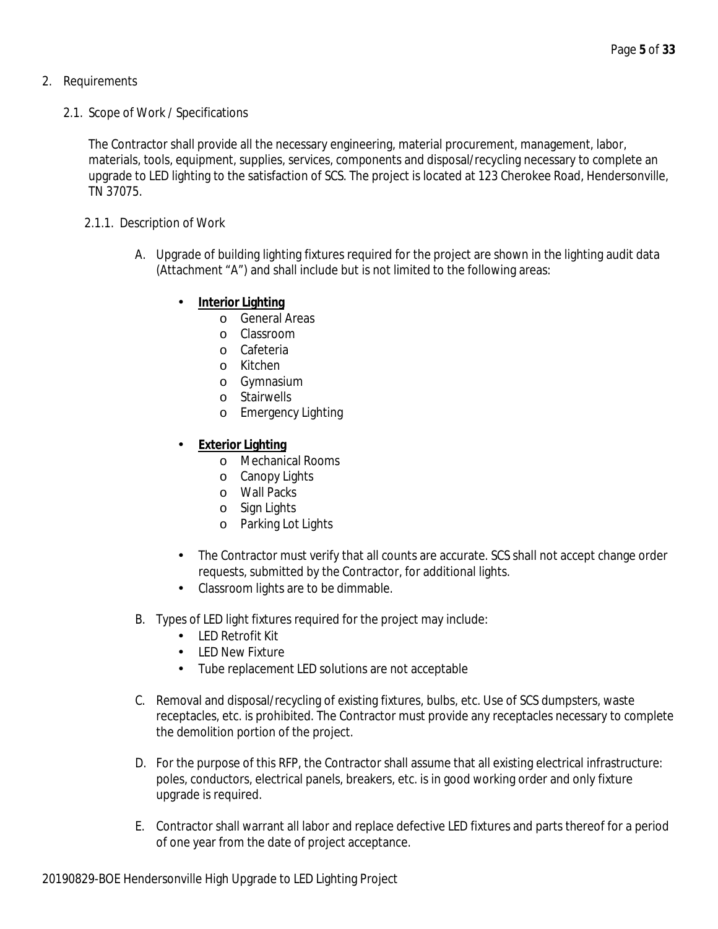- 2. Requirements
	- 2.1. Scope of Work / Specifications

The Contractor shall provide all the necessary engineering, material procurement, management, labor, materials, tools, equipment, supplies, services, components and disposal/recycling necessary to complete an upgrade to LED lighting to the satisfaction of SCS. The project is located at 123 Cherokee Road, Hendersonville, TN 37075.

- 2.1.1. Description of Work
	- A. Upgrade of building lighting fixtures required for the project are shown in the lighting audit data (Attachment "A") and shall include but is not limited to the following areas:
		- **Interior Lighting**
			- o General Areas
			- o Classroom
			- o Cafeteria
			- o Kitchen
			- o Gymnasium
			- o Stairwells
			- o Emergency Lighting
		- **Exterior Lighting**
			- o Mechanical Rooms
			- o Canopy Lights
			- o Wall Packs
			- o Sign Lights
			- o Parking Lot Lights
		- The Contractor must verify that all counts are accurate. SCS shall not accept change order  $\mathcal{L}^{\text{max}}$ requests, submitted by the Contractor, for additional lights.
		- Classroom lights are to be dimmable.  $\mathbf{r} = \mathbf{r}$
	- B. Types of LED light fixtures required for the project may include:
		- LED Retrofit Kit
		- LED New Fixture
		- Tube replacement LED solutions are not acceptable
	- C. Removal and disposal/recycling of existing fixtures, bulbs, etc. Use of SCS dumpsters, waste receptacles, etc. is prohibited. The Contractor must provide any receptacles necessary to complete the demolition portion of the project.
	- D. For the purpose of this RFP, the Contractor shall assume that all existing electrical infrastructure: poles, conductors, electrical panels, breakers, etc. is in good working order and only fixture upgrade is required.
	- E. Contractor shall warrant all labor and replace defective LED fixtures and parts thereof for a period of one year from the date of project acceptance.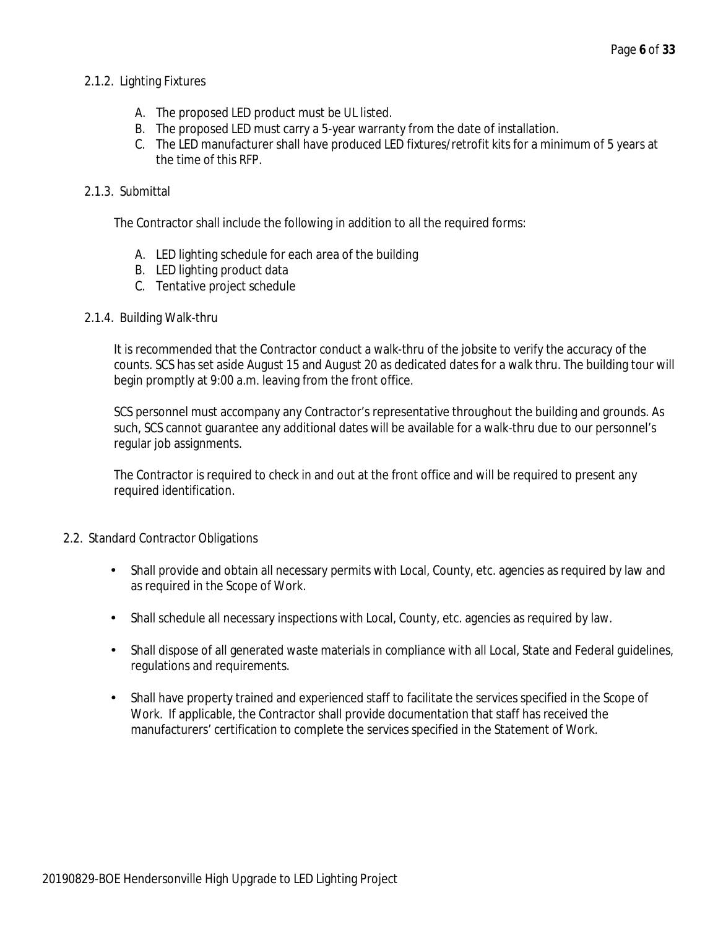### 2.1.2. Lighting Fixtures

- A. The proposed LED product must be UL listed.
- B. The proposed LED must carry a 5-year warranty from the date of installation.
- C. The LED manufacturer shall have produced LED fixtures/retrofit kits for a minimum of 5 years at the time of this RFP.

### 2.1.3. Submittal

The Contractor shall include the following in addition to all the required forms:

- A. LED lighting schedule for each area of the building
- B. LED lighting product data
- C. Tentative project schedule
- 2.1.4. Building Walk-thru

It is recommended that the Contractor conduct a walk-thru of the jobsite to verify the accuracy of the counts. SCS has set aside August 15 and August 20 as dedicated dates for a walk thru. The building tour will begin promptly at 9:00 a.m. leaving from the front office.

SCS personnel must accompany any Contractor's representative throughout the building and grounds. As such, SCS cannot guarantee any additional dates will be available for a walk-thru due to our personnel's regular job assignments.

The Contractor is required to check in and out at the front office and will be required to present any required identification.

### 2.2. Standard Contractor Obligations

- Shall provide and obtain all necessary permits with Local, County, etc. agencies as required by law and L. as required in the Scope of Work.
- Shall schedule all necessary inspections with Local, County, etc. agencies as required by law.
- $\mathcal{L}^{\mathcal{L}}$ Shall dispose of all generated waste materials in compliance with all Local, State and Federal guidelines, regulations and requirements.
- Shall have property trained and experienced staff to facilitate the services specified in the Scope of  $\mathbf{r}$ Work. If applicable, the Contractor shall provide documentation that staff has received the manufacturers' certification to complete the services specified in the Statement of Work.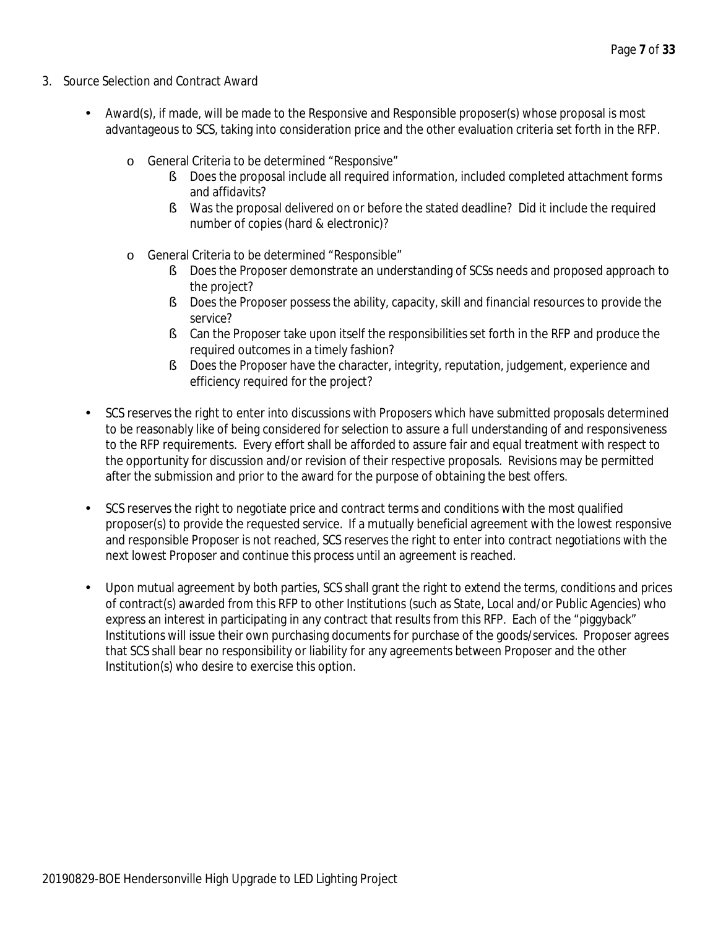- 3. Source Selection and Contract Award
	- Award(s), if made, will be made to the Responsive and Responsible proposer(s) whose proposal is most advantageous to SCS, taking into consideration price and the other evaluation criteria set forth in the RFP.
		- o General Criteria to be determined "Responsive"
			- § Does the proposal include all required information, included completed attachment forms and affidavits?
			- § Was the proposal delivered on or before the stated deadline? Did it include the required number of copies (hard & electronic)?
		- o General Criteria to be determined "Responsible"
			- § Does the Proposer demonstrate an understanding of SCSs needs and proposed approach to the project?
			- § Does the Proposer possess the ability, capacity, skill and financial resources to provide the service?
			- **§** Can the Proposer take upon itself the responsibilities set forth in the RFP and produce the required outcomes in a timely fashion?
			- **§** Does the Proposer have the character, integrity, reputation, judgement, experience and efficiency required for the project?
	- SCS reserves the right to enter into discussions with Proposers which have submitted proposals determined to be reasonably like of being considered for selection to assure a full understanding of and responsiveness to the RFP requirements. Every effort shall be afforded to assure fair and equal treatment with respect to the opportunity for discussion and/or revision of their respective proposals. Revisions may be permitted after the submission and prior to the award for the purpose of obtaining the best offers.
	- SCS reserves the right to negotiate price and contract terms and conditions with the most qualified proposer(s) to provide the requested service. If a mutually beneficial agreement with the lowest responsive and responsible Proposer is not reached, SCS reserves the right to enter into contract negotiations with the next lowest Proposer and continue this process until an agreement is reached.
	- Upon mutual agreement by both parties, SCS shall grant the right to extend the terms, conditions and prices of contract(s) awarded from this RFP to other Institutions (such as State, Local and/or Public Agencies) who express an interest in participating in any contract that results from this RFP. Each of the "piggyback" Institutions will issue their own purchasing documents for purchase of the goods/services. Proposer agrees that SCS shall bear no responsibility or liability for any agreements between Proposer and the other Institution(s) who desire to exercise this option.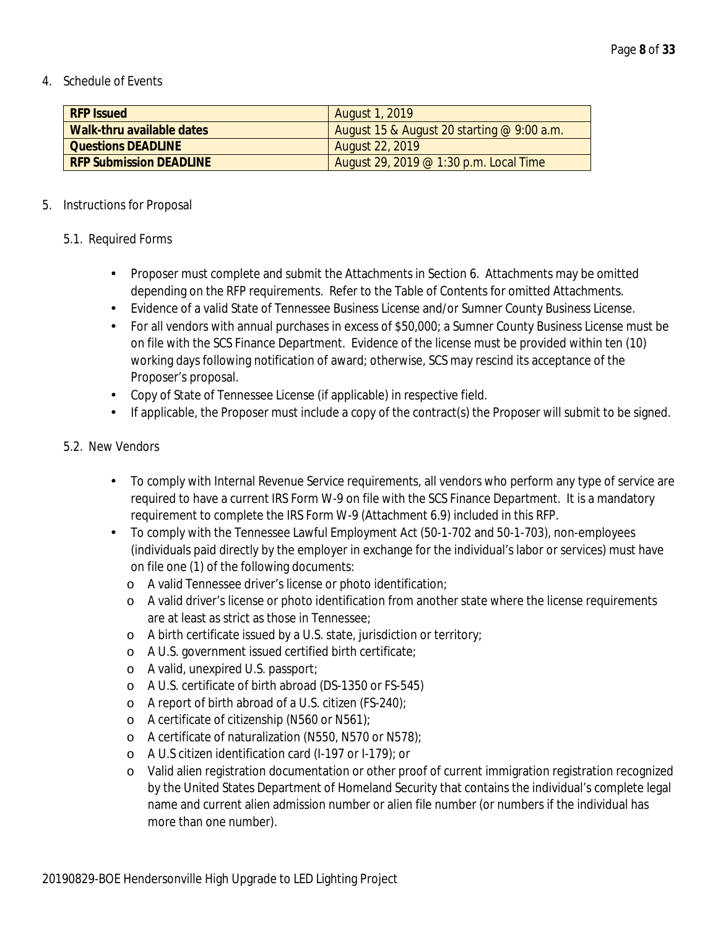### 4. Schedule of Events

| <b>RFP Issued</b>              | <b>August 1, 2019</b>                        |
|--------------------------------|----------------------------------------------|
| Walk-thru available dates      | August 15 & August 20 starting $@$ 9:00 a.m. |
| <b>Questions DEADLINE</b>      | <b>August 22, 2019</b>                       |
| <b>RFP Submission DEADLINE</b> | August 29, 2019 $@1:30$ p.m. Local Time      |

### 5. Instructions for Proposal

### 5.1. Required Forms

- Proposer must complete and submit the Attachments in Section 6. Attachments may be omitted L. depending on the RFP requirements. Refer to the Table of Contents for omitted Attachments.
- Evidence of a valid State of Tennessee Business License and/or Sumner County Business License.
- For all vendors with annual purchases in excess of \$50,000; a Sumner County Business License must be a c on file with the SCS Finance Department. Evidence of the license must be provided within ten (10) working days following notification of award; otherwise, SCS may rescind its acceptance of the Proposer's proposal.
- Copy of State of Tennessee License (if applicable) in respective field.
- l. If applicable, the Proposer must include a copy of the contract(s) the Proposer will submit to be signed.

### 5.2. New Vendors

- To comply with Internal Revenue Service requirements, all vendors who perform any type of service are t. required to have a current IRS Form W-9 on file with the SCS Finance Department. It is a mandatory requirement to complete the IRS Form W-9 (Attachment 6.9) included in this RFP.
- To comply with the Tennessee Lawful Employment Act (50-1-702 and 50-1-703), non-employees (individuals paid directly by the employer in exchange for the individual's labor or services) must have on file one (1) of the following documents:
	- o A valid Tennessee driver's license or photo identification;
	- o A valid driver's license or photo identification from another state where the license requirements are at least as strict as those in Tennessee;
	- o A birth certificate issued by a U.S. state, jurisdiction or territory;
	- o A U.S. government issued certified birth certificate;
	- o A valid, unexpired U.S. passport;
	- o A U.S. certificate of birth abroad (DS-1350 or FS-545)
	- o A report of birth abroad of a U.S. citizen (FS-240);
	- o A certificate of citizenship (N560 or N561);
	- o A certificate of naturalization (N550, N570 or N578);
	- o A U.S citizen identification card (I-197 or I-179); or
	- o Valid alien registration documentation or other proof of current immigration registration recognized by the United States Department of Homeland Security that contains the individual's complete legal name and current alien admission number or alien file number (or numbers if the individual has more than one number).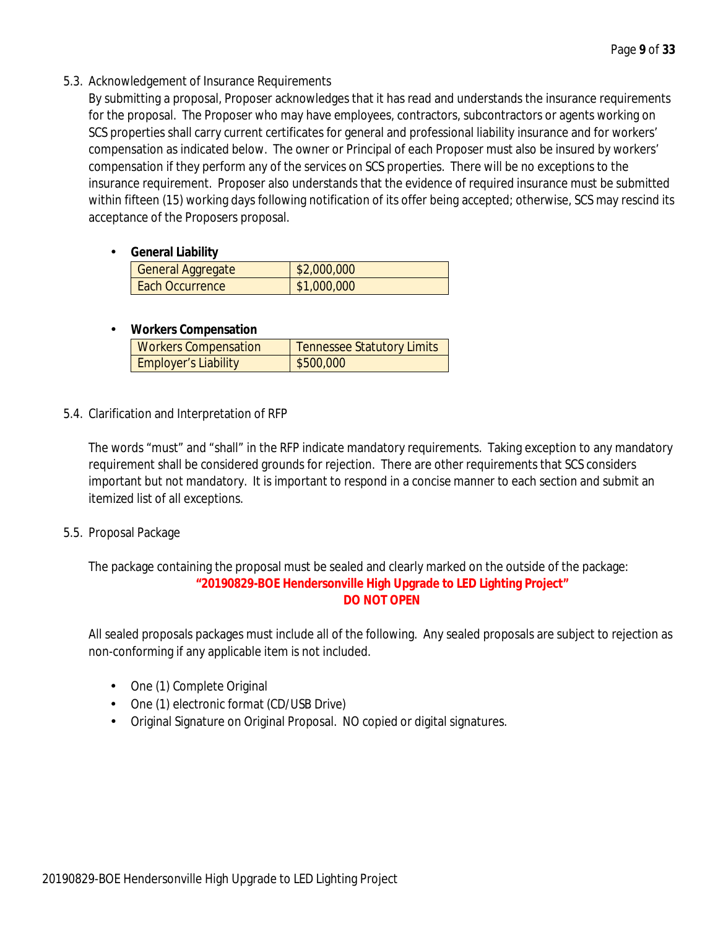5.3. Acknowledgement of Insurance Requirements

By submitting a proposal, Proposer acknowledges that it has read and understands the insurance requirements for the proposal. The Proposer who may have employees, contractors, subcontractors or agents working on SCS properties shall carry current certificates for general and professional liability insurance and for workers' compensation as indicated below. The owner or Principal of each Proposer must also be insured by workers' compensation if they perform any of the services on SCS properties. There will be no exceptions to the insurance requirement. Proposer also understands that the evidence of required insurance must be submitted within fifteen (15) working days following notification of its offer being accepted; otherwise, SCS may rescind its acceptance of the Proposers proposal.

**General Liability**

| <b>General Aggregate</b> | \$2,000,000 |
|--------------------------|-------------|
| Each Occurrence          | \$1,000,000 |

#### **Workers Compensation** ä,

| <b>Workers Compensation</b> | <b>Tennessee Statutory Limits</b> |
|-----------------------------|-----------------------------------|
| <b>Employer's Liability</b> | \$500,000                         |

5.4. Clarification and Interpretation of RFP

The words "must" and "shall" in the RFP indicate mandatory requirements. Taking exception to any mandatory requirement shall be considered grounds for rejection. There are other requirements that SCS considers important but not mandatory. It is important to respond in a concise manner to each section and submit an itemized list of all exceptions.

5.5. Proposal Package

The package containing the proposal must be sealed and clearly marked on the outside of the package: **"20190829-BOE Hendersonville High Upgrade to LED Lighting Project" DO NOT OPEN**

All sealed proposals packages must include all of the following. Any sealed proposals are subject to rejection as non-conforming if any applicable item is not included.

- One (1) Complete Original
- One (1) electronic format (CD/USB Drive)
- Original Signature on Original Proposal. NO copied or digital signatures.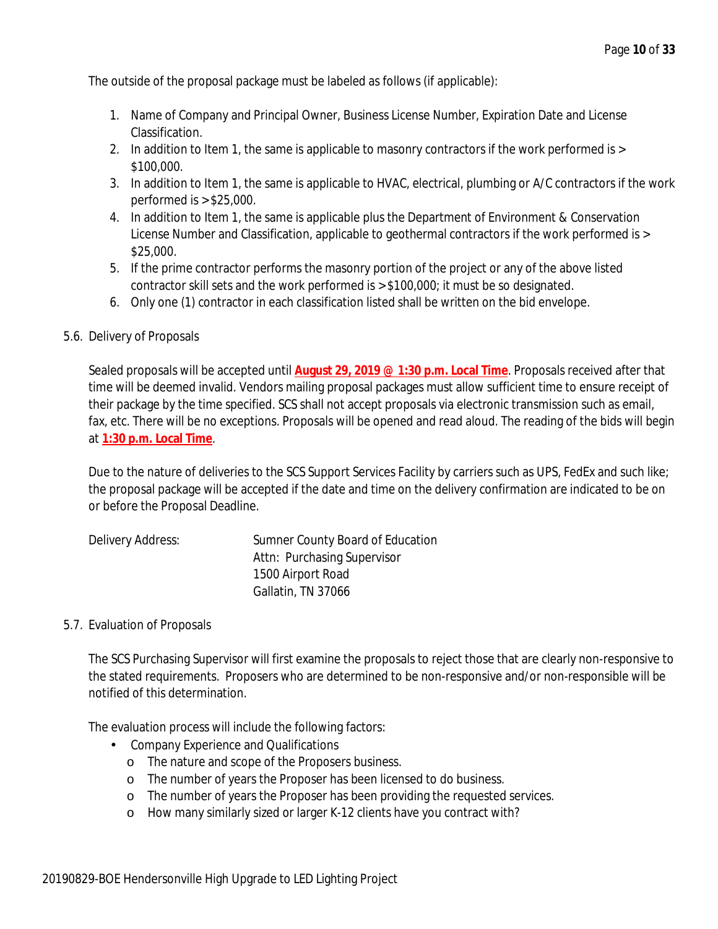The outside of the proposal package must be labeled as follows (if applicable):

- 1. Name of Company and Principal Owner, Business License Number, Expiration Date and License Classification.
- 2. In addition to Item 1, the same is applicable to masonry contractors if the work performed is > \$100,000.
- 3. In addition to Item 1, the same is applicable to HVAC, electrical, plumbing or A/C contractors if the work performed is > \$25,000.
- 4. In addition to Item 1, the same is applicable plus the Department of Environment & Conservation License Number and Classification, applicable to geothermal contractors if the work performed is > \$25,000.
- 5. If the prime contractor performs the masonry portion of the project or any of the above listed contractor skill sets and the work performed is > \$100,000; it must be so designated.
- 6. Only one (1) contractor in each classification listed shall be written on the bid envelope.

### 5.6. Delivery of Proposals

Sealed proposals will be accepted until **August 29, 2019 @ 1:30 p.m. Local Time**. Proposals received after that time will be deemed invalid. Vendors mailing proposal packages must allow sufficient time to ensure receipt of their package by the time specified. SCS shall not accept proposals via electronic transmission such as email, fax, etc. There will be no exceptions. Proposals will be opened and read aloud. The reading of the bids will begin at **1:30 p.m. Local Time**.

Due to the nature of deliveries to the SCS Support Services Facility by carriers such as UPS, FedEx and such like; the proposal package will be accepted if the date and time on the delivery confirmation are indicated to be on or before the Proposal Deadline.

| Delivery Address: | Sumner County Board of Education |
|-------------------|----------------------------------|
|                   | Attn: Purchasing Supervisor      |
|                   | 1500 Airport Road                |
|                   | Gallatin, TN 37066               |

### 5.7. Evaluation of Proposals

The SCS Purchasing Supervisor will first examine the proposals to reject those that are clearly non-responsive to the stated requirements. Proposers who are determined to be non-responsive and/or non-responsible will be notified of this determination.

The evaluation process will include the following factors:

- Company Experience and Qualifications
	- o The nature and scope of the Proposers business.
	- o The number of years the Proposer has been licensed to do business.
	- o The number of years the Proposer has been providing the requested services.
	- o How many similarly sized or larger K-12 clients have you contract with?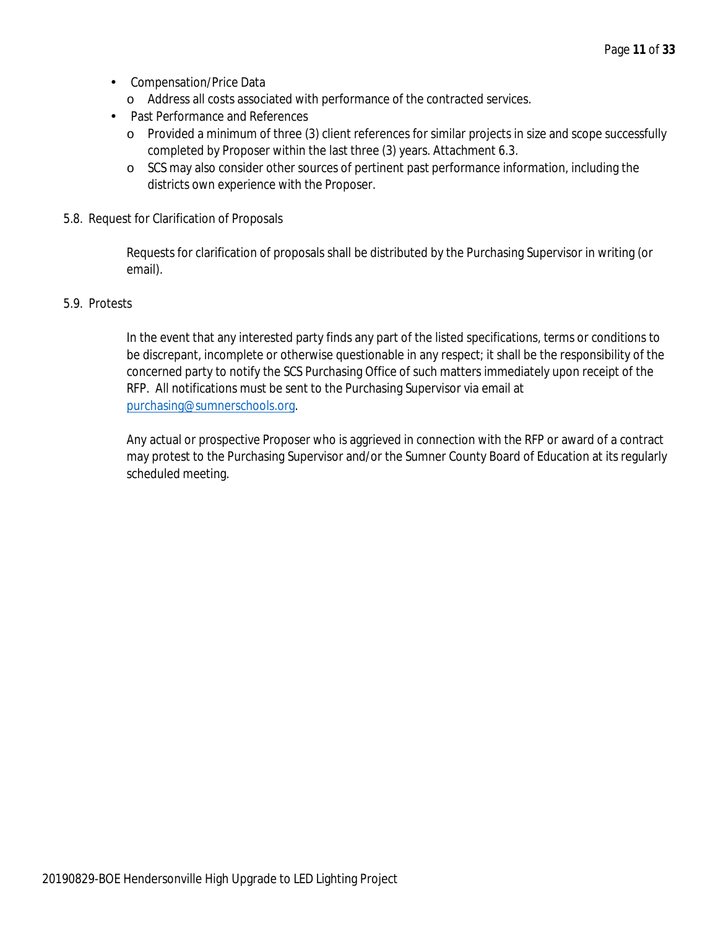- Compensation/Price Data
	- o Address all costs associated with performance of the contracted services.
- Past Performance and References
	- o Provided a minimum of three (3) client references for similar projects in size and scope successfully completed by Proposer within the last three (3) years. Attachment 6.3.
	- o SCS may also consider other sources of pertinent past performance information, including the districts own experience with the Proposer.
- 5.8. Request for Clarification of Proposals

Requests for clarification of proposals shall be distributed by the Purchasing Supervisor in writing (or email).

### 5.9. Protests

In the event that any interested party finds any part of the listed specifications, terms or conditions to be discrepant, incomplete or otherwise questionable in any respect; it shall be the responsibility of the concerned party to notify the SCS Purchasing Office of such matters immediately upon receipt of the RFP. All notifications must be sent to the Purchasing Supervisor via email at purchasing@sumnerschools.org.

Any actual or prospective Proposer who is aggrieved in connection with the RFP or award of a contract may protest to the Purchasing Supervisor and/or the Sumner County Board of Education at its regularly scheduled meeting.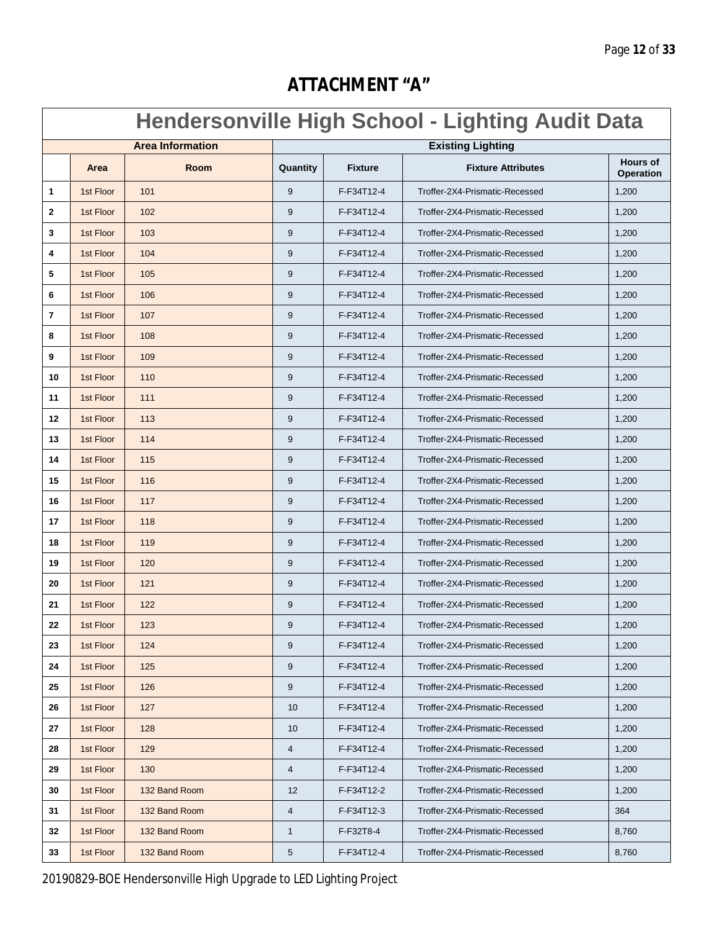# **ATTACHMENT "A"**

# **Hendersonville High School - Lighting Audit Data**

| <b>Area Information</b> |           |               | <b>Existing Lighting</b> |                |                                |                                     |
|-------------------------|-----------|---------------|--------------------------|----------------|--------------------------------|-------------------------------------|
|                         | Area      | Room          | Quantity                 | <b>Fixture</b> | <b>Fixture Attributes</b>      | <b>Hours of</b><br><b>Operation</b> |
| 1                       | 1st Floor | 101           | 9                        | F-F34T12-4     | Troffer-2X4-Prismatic-Recessed | 1,200                               |
| $\mathbf{2}$            | 1st Floor | 102           | 9                        | F-F34T12-4     | Troffer-2X4-Prismatic-Recessed | 1,200                               |
| 3                       | 1st Floor | 103           | 9                        | F-F34T12-4     | Troffer-2X4-Prismatic-Recessed | 1,200                               |
| 4                       | 1st Floor | 104           | 9                        | F-F34T12-4     | Troffer-2X4-Prismatic-Recessed | 1,200                               |
| 5                       | 1st Floor | 105           | 9                        | F-F34T12-4     | Troffer-2X4-Prismatic-Recessed | 1,200                               |
| 6                       | 1st Floor | 106           | $9\,$                    | F-F34T12-4     | Troffer-2X4-Prismatic-Recessed | 1,200                               |
| 7                       | 1st Floor | 107           | 9                        | F-F34T12-4     | Troffer-2X4-Prismatic-Recessed | 1,200                               |
| 8                       | 1st Floor | 108           | 9                        | F-F34T12-4     | Troffer-2X4-Prismatic-Recessed | 1,200                               |
| 9                       | 1st Floor | 109           | 9                        | F-F34T12-4     | Troffer-2X4-Prismatic-Recessed | 1,200                               |
| 10                      | 1st Floor | 110           | 9                        | F-F34T12-4     | Troffer-2X4-Prismatic-Recessed | 1,200                               |
| 11                      | 1st Floor | 111           | 9                        | F-F34T12-4     | Troffer-2X4-Prismatic-Recessed | 1,200                               |
| 12                      | 1st Floor | 113           | 9                        | F-F34T12-4     | Troffer-2X4-Prismatic-Recessed | 1,200                               |
| 13                      | 1st Floor | 114           | 9                        | F-F34T12-4     | Troffer-2X4-Prismatic-Recessed | 1,200                               |
| 14                      | 1st Floor | 115           | $9\,$                    | F-F34T12-4     | Troffer-2X4-Prismatic-Recessed | 1,200                               |
| 15                      | 1st Floor | 116           | 9                        | F-F34T12-4     | Troffer-2X4-Prismatic-Recessed | 1,200                               |
| 16                      | 1st Floor | 117           | 9                        | F-F34T12-4     | Troffer-2X4-Prismatic-Recessed | 1,200                               |
| 17                      | 1st Floor | 118           | 9                        | F-F34T12-4     | Troffer-2X4-Prismatic-Recessed | 1,200                               |
| 18                      | 1st Floor | 119           | 9                        | F-F34T12-4     | Troffer-2X4-Prismatic-Recessed | 1,200                               |
| 19                      | 1st Floor | 120           | $9\,$                    | F-F34T12-4     | Troffer-2X4-Prismatic-Recessed | 1,200                               |
| 20                      | 1st Floor | 121           | $9\,$                    | F-F34T12-4     | Troffer-2X4-Prismatic-Recessed | 1,200                               |
| 21                      | 1st Floor | 122           | $9\,$                    | F-F34T12-4     | Troffer-2X4-Prismatic-Recessed | 1,200                               |
| 22                      | 1st Floor | 123           | 9                        | F-F34T12-4     | Troffer-2X4-Prismatic-Recessed | 1,200                               |
| 23                      | 1st Floor | 124           | 9                        | F-F34T12-4     | Troffer-2X4-Prismatic-Recessed | 1,200                               |
| 24                      | 1st Floor | 125           | 9                        | F-F34T12-4     | Troffer-2X4-Prismatic-Recessed | 1,200                               |
| 25                      | 1st Floor | 126           | 9                        | F-F34T12-4     | Troffer-2X4-Prismatic-Recessed | 1,200                               |
| 26                      | 1st Floor | 127           | 10                       | F-F34T12-4     | Troffer-2X4-Prismatic-Recessed | 1,200                               |
| 27                      | 1st Floor | 128           | 10                       | F-F34T12-4     | Troffer-2X4-Prismatic-Recessed | 1,200                               |
| 28                      | 1st Floor | 129           | $\overline{4}$           | F-F34T12-4     | Troffer-2X4-Prismatic-Recessed | 1,200                               |
| 29                      | 1st Floor | 130           | $\overline{4}$           | F-F34T12-4     | Troffer-2X4-Prismatic-Recessed | 1,200                               |
| 30                      | 1st Floor | 132 Band Room | 12                       | F-F34T12-2     | Troffer-2X4-Prismatic-Recessed | 1,200                               |
| 31                      | 1st Floor | 132 Band Room | 4                        | F-F34T12-3     | Troffer-2X4-Prismatic-Recessed | 364                                 |
| 32                      | 1st Floor | 132 Band Room | 1                        | F-F32T8-4      | Troffer-2X4-Prismatic-Recessed | 8,760                               |
| 33                      | 1st Floor | 132 Band Room | 5                        | F-F34T12-4     | Troffer-2X4-Prismatic-Recessed | 8,760                               |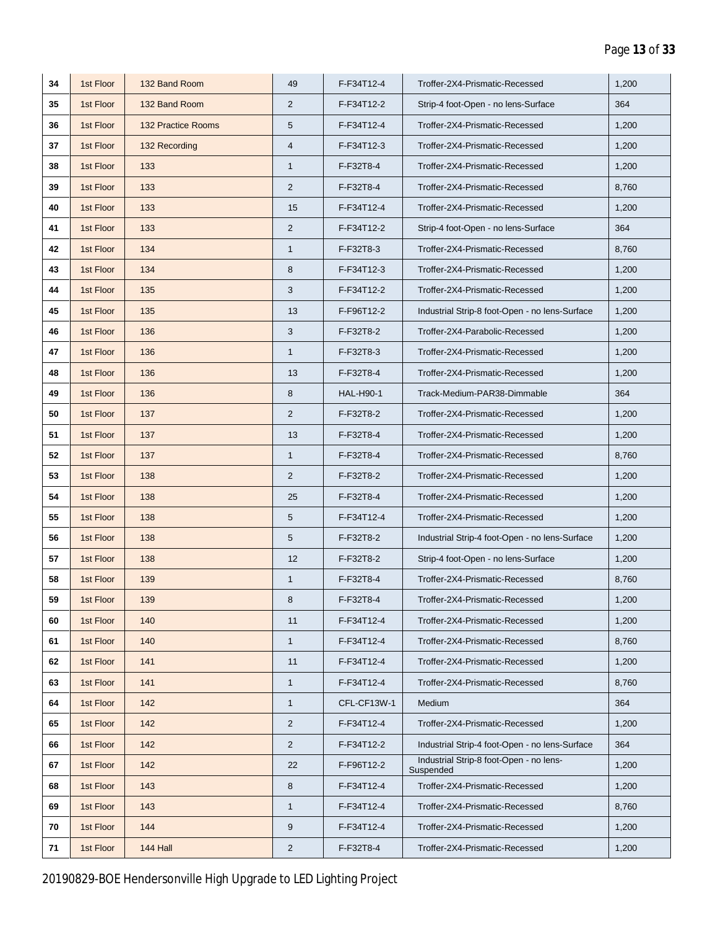| 34 | 1st Floor | 132 Band Room             | 49             | F-F34T12-4       | Troffer-2X4-Prismatic-Recessed                       | 1,200 |
|----|-----------|---------------------------|----------------|------------------|------------------------------------------------------|-------|
| 35 | 1st Floor | 132 Band Room             | 2              | F-F34T12-2       | Strip-4 foot-Open - no lens-Surface                  | 364   |
| 36 | 1st Floor | <b>132 Practice Rooms</b> | 5              | F-F34T12-4       | Troffer-2X4-Prismatic-Recessed                       | 1,200 |
| 37 | 1st Floor | 132 Recording             | 4              | F-F34T12-3       | Troffer-2X4-Prismatic-Recessed                       | 1,200 |
| 38 | 1st Floor | 133                       | $\mathbf{1}$   | F-F32T8-4        | Troffer-2X4-Prismatic-Recessed                       | 1,200 |
| 39 | 1st Floor | 133                       | $\overline{2}$ | F-F32T8-4        | Troffer-2X4-Prismatic-Recessed                       | 8,760 |
| 40 | 1st Floor | 133                       | 15             | F-F34T12-4       | Troffer-2X4-Prismatic-Recessed                       | 1,200 |
| 41 | 1st Floor | 133                       | $\overline{2}$ | F-F34T12-2       | Strip-4 foot-Open - no lens-Surface                  | 364   |
| 42 | 1st Floor | 134                       | $\mathbf{1}$   | F-F32T8-3        | Troffer-2X4-Prismatic-Recessed                       | 8,760 |
| 43 | 1st Floor | 134                       | 8              | F-F34T12-3       | Troffer-2X4-Prismatic-Recessed                       | 1,200 |
| 44 | 1st Floor | 135                       | 3              | F-F34T12-2       | Troffer-2X4-Prismatic-Recessed                       | 1,200 |
| 45 | 1st Floor | 135                       | 13             | F-F96T12-2       | Industrial Strip-8 foot-Open - no lens-Surface       | 1,200 |
| 46 | 1st Floor | 136                       | 3              | F-F32T8-2        | Troffer-2X4-Parabolic-Recessed                       | 1,200 |
| 47 | 1st Floor | 136                       | $\mathbf{1}$   | F-F32T8-3        | Troffer-2X4-Prismatic-Recessed                       | 1,200 |
| 48 | 1st Floor | 136                       | 13             | F-F32T8-4        | Troffer-2X4-Prismatic-Recessed                       | 1,200 |
| 49 | 1st Floor | 136                       | 8              | <b>HAL-H90-1</b> | Track-Medium-PAR38-Dimmable                          | 364   |
| 50 | 1st Floor | 137                       | 2              | F-F32T8-2        | Troffer-2X4-Prismatic-Recessed                       | 1,200 |
| 51 | 1st Floor | 137                       | 13             | F-F32T8-4        | Troffer-2X4-Prismatic-Recessed                       | 1,200 |
| 52 | 1st Floor | 137                       | 1              | F-F32T8-4        | Troffer-2X4-Prismatic-Recessed                       | 8,760 |
| 53 | 1st Floor | 138                       | $\overline{2}$ | F-F32T8-2        | Troffer-2X4-Prismatic-Recessed                       | 1,200 |
| 54 | 1st Floor | 138                       | 25             | F-F32T8-4        | Troffer-2X4-Prismatic-Recessed                       | 1,200 |
| 55 | 1st Floor | 138                       | 5              | F-F34T12-4       | Troffer-2X4-Prismatic-Recessed                       | 1,200 |
| 56 | 1st Floor | 138                       | 5              | F-F32T8-2        | Industrial Strip-4 foot-Open - no lens-Surface       | 1,200 |
| 57 | 1st Floor | 138                       | 12             | F-F32T8-2        | Strip-4 foot-Open - no lens-Surface                  | 1,200 |
| 58 | 1st Floor | 139                       | $\mathbf{1}$   | F-F32T8-4        | Troffer-2X4-Prismatic-Recessed                       | 8,760 |
| 59 | 1st Floor | 139                       | 8              | F-F32T8-4        | Troffer-2X4-Prismatic-Recessed                       | 1,200 |
| 60 | 1st Floor | 140                       | 11             | F-F34T12-4       | Troffer-2X4-Prismatic-Recessed                       | 1,200 |
| 61 | 1st Floor | 140                       | $\mathbf{1}$   | F-F34T12-4       | Troffer-2X4-Prismatic-Recessed                       | 8,760 |
| 62 | 1st Floor | 141                       | 11             | F-F34T12-4       | Troffer-2X4-Prismatic-Recessed                       | 1,200 |
| 63 | 1st Floor | 141                       | 1              | F-F34T12-4       | Troffer-2X4-Prismatic-Recessed                       | 8,760 |
| 64 | 1st Floor | 142                       | $\mathbf{1}$   | CFL-CF13W-1      | Medium                                               | 364   |
| 65 | 1st Floor | 142                       | $\overline{2}$ | F-F34T12-4       | Troffer-2X4-Prismatic-Recessed                       | 1,200 |
| 66 | 1st Floor | 142                       | $\overline{2}$ | F-F34T12-2       | Industrial Strip-4 foot-Open - no lens-Surface       | 364   |
| 67 | 1st Floor | 142                       | 22             | F-F96T12-2       | Industrial Strip-8 foot-Open - no lens-<br>Suspended | 1,200 |
| 68 | 1st Floor | 143                       | 8              | F-F34T12-4       | Troffer-2X4-Prismatic-Recessed                       | 1,200 |
| 69 | 1st Floor | 143                       | $\mathbf{1}$   | F-F34T12-4       | Troffer-2X4-Prismatic-Recessed                       | 8,760 |
| 70 | 1st Floor | 144                       | 9              | F-F34T12-4       | Troffer-2X4-Prismatic-Recessed                       | 1,200 |
| 71 | 1st Floor | 144 Hall                  | $\overline{2}$ | F-F32T8-4        | Troffer-2X4-Prismatic-Recessed                       | 1,200 |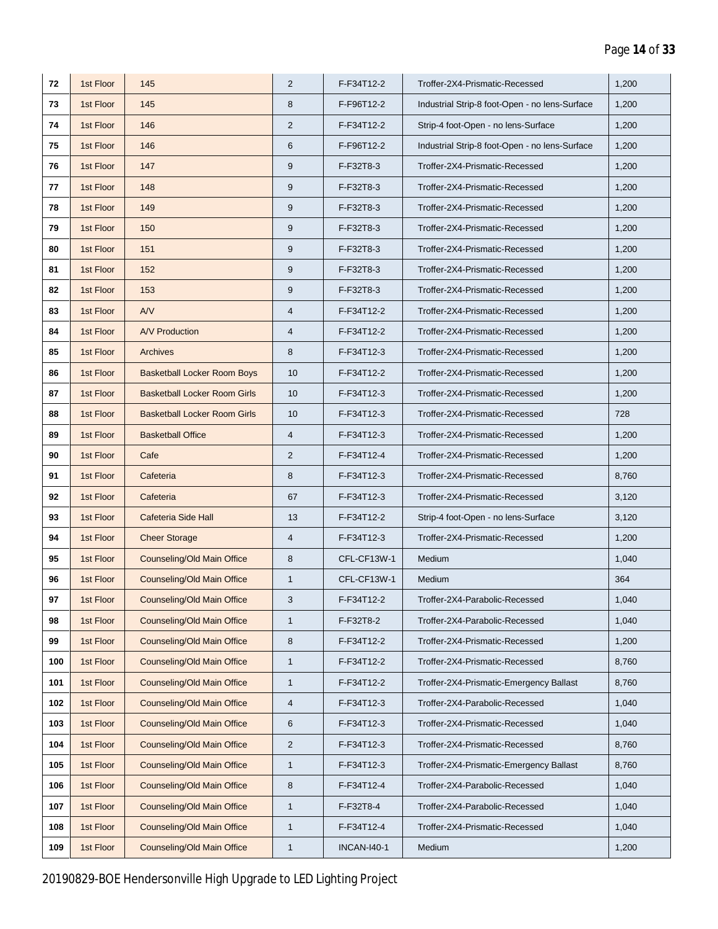| 72  | 1st Floor | 145                                 | 2              | F-F34T12-2         | Troffer-2X4-Prismatic-Recessed                 | 1,200 |
|-----|-----------|-------------------------------------|----------------|--------------------|------------------------------------------------|-------|
| 73  | 1st Floor | 145                                 | 8              | F-F96T12-2         | Industrial Strip-8 foot-Open - no lens-Surface | 1,200 |
| 74  | 1st Floor | 146                                 | $\overline{2}$ | F-F34T12-2         | Strip-4 foot-Open - no lens-Surface            | 1,200 |
| 75  | 1st Floor | 146                                 | 6              | F-F96T12-2         | Industrial Strip-8 foot-Open - no lens-Surface | 1,200 |
| 76  | 1st Floor | 147                                 | 9              | F-F32T8-3          | Troffer-2X4-Prismatic-Recessed                 | 1,200 |
| 77  | 1st Floor | 148                                 | 9              | F-F32T8-3          | Troffer-2X4-Prismatic-Recessed                 | 1,200 |
| 78  | 1st Floor | 149                                 | 9              | F-F32T8-3          | Troffer-2X4-Prismatic-Recessed                 | 1,200 |
| 79  | 1st Floor | 150                                 | 9              | F-F32T8-3          | Troffer-2X4-Prismatic-Recessed                 | 1,200 |
| 80  | 1st Floor | 151                                 | 9              | F-F32T8-3          | Troffer-2X4-Prismatic-Recessed                 | 1,200 |
| 81  | 1st Floor | 152                                 | $9\,$          | F-F32T8-3          | Troffer-2X4-Prismatic-Recessed                 | 1,200 |
| 82  | 1st Floor | 153                                 | 9              | F-F32T8-3          | Troffer-2X4-Prismatic-Recessed                 | 1,200 |
| 83  | 1st Floor | AV                                  | $\overline{4}$ | F-F34T12-2         | Troffer-2X4-Prismatic-Recessed                 | 1,200 |
| 84  | 1st Floor | <b>A/V Production</b>               | 4              | F-F34T12-2         | Troffer-2X4-Prismatic-Recessed                 | 1,200 |
| 85  | 1st Floor | Archives                            | 8              | F-F34T12-3         | Troffer-2X4-Prismatic-Recessed                 | 1,200 |
| 86  | 1st Floor | <b>Basketball Locker Room Boys</b>  | 10             | F-F34T12-2         | Troffer-2X4-Prismatic-Recessed                 | 1,200 |
| 87  | 1st Floor | <b>Basketball Locker Room Girls</b> | 10             | F-F34T12-3         | Troffer-2X4-Prismatic-Recessed                 | 1,200 |
| 88  | 1st Floor | <b>Basketball Locker Room Girls</b> | 10             | F-F34T12-3         | Troffer-2X4-Prismatic-Recessed                 | 728   |
| 89  | 1st Floor | <b>Basketball Office</b>            | $\overline{4}$ | F-F34T12-3         | Troffer-2X4-Prismatic-Recessed                 | 1,200 |
| 90  | 1st Floor | Cafe                                | 2              | F-F34T12-4         | Troffer-2X4-Prismatic-Recessed                 | 1,200 |
| 91  | 1st Floor | Cafeteria                           | 8              | F-F34T12-3         | Troffer-2X4-Prismatic-Recessed                 | 8,760 |
| 92  | 1st Floor | Cafeteria                           | 67             | F-F34T12-3         | Troffer-2X4-Prismatic-Recessed                 | 3,120 |
| 93  | 1st Floor | Cafeteria Side Hall                 | 13             | F-F34T12-2         | Strip-4 foot-Open - no lens-Surface            | 3,120 |
| 94  | 1st Floor | <b>Cheer Storage</b>                | $\overline{4}$ | F-F34T12-3         | Troffer-2X4-Prismatic-Recessed                 | 1,200 |
| 95  | 1st Floor | Counseling/Old Main Office          | 8              | CFL-CF13W-1        | Medium                                         | 1,040 |
| 96  | 1st Floor | Counseling/Old Main Office          | $\mathbf{1}$   | CFL-CF13W-1        | Medium                                         | 364   |
| 97  | 1st Floor | Counseling/Old Main Office          | 3              | F-F34T12-2         | Troffer-2X4-Parabolic-Recessed                 | 1,040 |
| 98  | 1st Floor | Counseling/Old Main Office          | $\mathbf{1}$   | F-F32T8-2          | Troffer-2X4-Parabolic-Recessed                 | 1,040 |
| 99  | 1st Floor | Counseling/Old Main Office          | 8              | F-F34T12-2         | Troffer-2X4-Prismatic-Recessed                 | 1,200 |
| 100 | 1st Floor | Counseling/Old Main Office          | 1              | F-F34T12-2         | Troffer-2X4-Prismatic-Recessed                 | 8,760 |
| 101 | 1st Floor | Counseling/Old Main Office          | 1              | F-F34T12-2         | Troffer-2X4-Prismatic-Emergency Ballast        | 8,760 |
| 102 | 1st Floor | Counseling/Old Main Office          | $\overline{4}$ | F-F34T12-3         | Troffer-2X4-Parabolic-Recessed                 | 1,040 |
| 103 | 1st Floor | Counseling/Old Main Office          | 6              | F-F34T12-3         | Troffer-2X4-Prismatic-Recessed                 | 1,040 |
| 104 | 1st Floor | <b>Counseling/Old Main Office</b>   | $\mathbf{2}$   | F-F34T12-3         | Troffer-2X4-Prismatic-Recessed                 | 8,760 |
| 105 | 1st Floor | Counseling/Old Main Office          | $\mathbf{1}$   | F-F34T12-3         | Troffer-2X4-Prismatic-Emergency Ballast        | 8,760 |
| 106 | 1st Floor | Counseling/Old Main Office          | 8              | F-F34T12-4         | Troffer-2X4-Parabolic-Recessed                 | 1,040 |
| 107 | 1st Floor | Counseling/Old Main Office          | $\mathbf{1}$   | F-F32T8-4          | Troffer-2X4-Parabolic-Recessed                 | 1,040 |
| 108 | 1st Floor | Counseling/Old Main Office          | $\mathbf{1}$   | F-F34T12-4         | Troffer-2X4-Prismatic-Recessed                 | 1,040 |
| 109 | 1st Floor | Counseling/Old Main Office          | $\mathbf{1}$   | <b>INCAN-I40-1</b> | Medium                                         | 1,200 |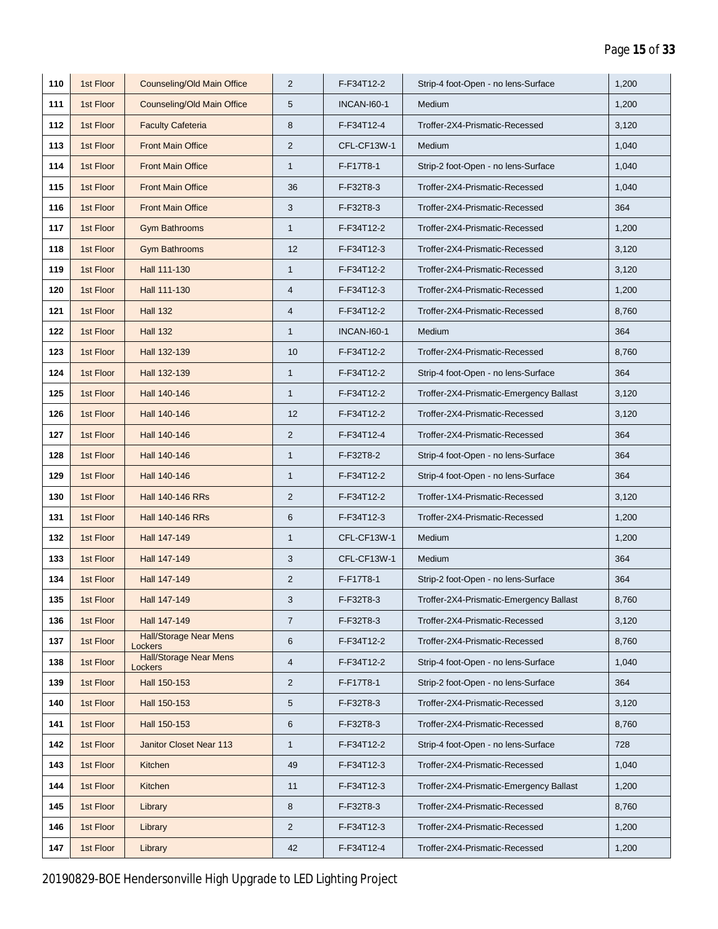| 110 | 1st Floor | Counseling/Old Main Office               | 2                       | F-F34T12-2         | Strip-4 foot-Open - no lens-Surface     | 1,200 |
|-----|-----------|------------------------------------------|-------------------------|--------------------|-----------------------------------------|-------|
| 111 | 1st Floor | Counseling/Old Main Office               | 5                       | <b>INCAN-160-1</b> | Medium                                  | 1,200 |
| 112 | 1st Floor | <b>Faculty Cafeteria</b>                 | 8                       | F-F34T12-4         | Troffer-2X4-Prismatic-Recessed          | 3,120 |
| 113 | 1st Floor | <b>Front Main Office</b>                 | 2                       | CFL-CF13W-1        | Medium                                  | 1,040 |
| 114 | 1st Floor | <b>Front Main Office</b>                 | $\mathbf{1}$            | F-F17T8-1          | Strip-2 foot-Open - no lens-Surface     | 1,040 |
| 115 | 1st Floor | <b>Front Main Office</b>                 | 36                      | F-F32T8-3          | Troffer-2X4-Prismatic-Recessed          | 1,040 |
| 116 | 1st Floor | <b>Front Main Office</b>                 | 3                       | F-F32T8-3          | Troffer-2X4-Prismatic-Recessed          | 364   |
| 117 | 1st Floor | <b>Gym Bathrooms</b>                     | $\mathbf{1}$            | F-F34T12-2         | Troffer-2X4-Prismatic-Recessed          | 1,200 |
| 118 | 1st Floor | <b>Gym Bathrooms</b>                     | 12                      | F-F34T12-3         | Troffer-2X4-Prismatic-Recessed          | 3,120 |
| 119 | 1st Floor | Hall 111-130                             | $\mathbf{1}$            | F-F34T12-2         | Troffer-2X4-Prismatic-Recessed          | 3,120 |
| 120 | 1st Floor | Hall 111-130                             | $\overline{4}$          | F-F34T12-3         | Troffer-2X4-Prismatic-Recessed          | 1,200 |
| 121 | 1st Floor | <b>Hall 132</b>                          | $\overline{4}$          | F-F34T12-2         | Troffer-2X4-Prismatic-Recessed          | 8,760 |
| 122 | 1st Floor | <b>Hall 132</b>                          | $\mathbf{1}$            | <b>INCAN-160-1</b> | Medium                                  | 364   |
| 123 | 1st Floor | Hall 132-139                             | 10                      | F-F34T12-2         | Troffer-2X4-Prismatic-Recessed          | 8,760 |
| 124 | 1st Floor | Hall 132-139                             | $\mathbf{1}$            | F-F34T12-2         | Strip-4 foot-Open - no lens-Surface     | 364   |
| 125 | 1st Floor | Hall 140-146                             | $\mathbf{1}$            | F-F34T12-2         | Troffer-2X4-Prismatic-Emergency Ballast | 3,120 |
| 126 | 1st Floor | Hall 140-146                             | 12                      | F-F34T12-2         | Troffer-2X4-Prismatic-Recessed          | 3,120 |
| 127 | 1st Floor | Hall 140-146                             | 2                       | F-F34T12-4         | Troffer-2X4-Prismatic-Recessed          | 364   |
| 128 | 1st Floor | Hall 140-146                             | $\mathbf{1}$            | F-F32T8-2          | Strip-4 foot-Open - no lens-Surface     | 364   |
| 129 | 1st Floor | Hall 140-146                             | $\mathbf{1}$            | F-F34T12-2         | Strip-4 foot-Open - no lens-Surface     | 364   |
| 130 | 1st Floor | Hall 140-146 RRs                         | 2                       | F-F34T12-2         | Troffer-1X4-Prismatic-Recessed          | 3,120 |
| 131 | 1st Floor | Hall 140-146 RRs                         | 6                       | F-F34T12-3         | Troffer-2X4-Prismatic-Recessed          | 1,200 |
| 132 | 1st Floor | Hall 147-149                             | $\mathbf{1}$            | CFL-CF13W-1        | Medium                                  | 1,200 |
| 133 | 1st Floor | Hall 147-149                             | 3                       | CFL-CF13W-1        | Medium                                  | 364   |
| 134 | 1st Floor | Hall 147-149                             | 2                       | F-F17T8-1          | Strip-2 foot-Open - no lens-Surface     | 364   |
| 135 | 1st Floor | Hall 147-149                             | 3                       | F-F32T8-3          | Troffer-2X4-Prismatic-Emergency Ballast | 8,760 |
| 136 | 1st Floor | Hall 147-149                             | $\overline{7}$          | F-F32T8-3          | Troffer-2X4-Prismatic-Recessed          | 3,120 |
| 137 | 1st Floor | <b>Hall/Storage Near Mens</b><br>Lockers | $\,6$                   | F-F34T12-2         | Troffer-2X4-Prismatic-Recessed          | 8,760 |
| 138 | 1st Floor | <b>Hall/Storage Near Mens</b><br>Lockers | $\overline{\mathbf{4}}$ | F-F34T12-2         | Strip-4 foot-Open - no lens-Surface     | 1,040 |
| 139 | 1st Floor | Hall 150-153                             | $\overline{2}$          | F-F17T8-1          | Strip-2 foot-Open - no lens-Surface     | 364   |
| 140 | 1st Floor | Hall 150-153                             | 5                       | F-F32T8-3          | Troffer-2X4-Prismatic-Recessed          | 3,120 |
| 141 | 1st Floor | Hall 150-153                             | 6                       | F-F32T8-3          | Troffer-2X4-Prismatic-Recessed          | 8,760 |
| 142 | 1st Floor | Janitor Closet Near 113                  | $\mathbf{1}$            | F-F34T12-2         | Strip-4 foot-Open - no lens-Surface     | 728   |
| 143 | 1st Floor | Kitchen                                  | 49                      | F-F34T12-3         | Troffer-2X4-Prismatic-Recessed          | 1,040 |
| 144 | 1st Floor | Kitchen                                  | 11                      | F-F34T12-3         | Troffer-2X4-Prismatic-Emergency Ballast | 1,200 |
| 145 | 1st Floor | Library                                  | 8                       | F-F32T8-3          | Troffer-2X4-Prismatic-Recessed          | 8,760 |
| 146 | 1st Floor | Library                                  | $\overline{2}$          | F-F34T12-3         | Troffer-2X4-Prismatic-Recessed          | 1,200 |
| 147 | 1st Floor | Library                                  | 42                      | F-F34T12-4         | Troffer-2X4-Prismatic-Recessed          | 1,200 |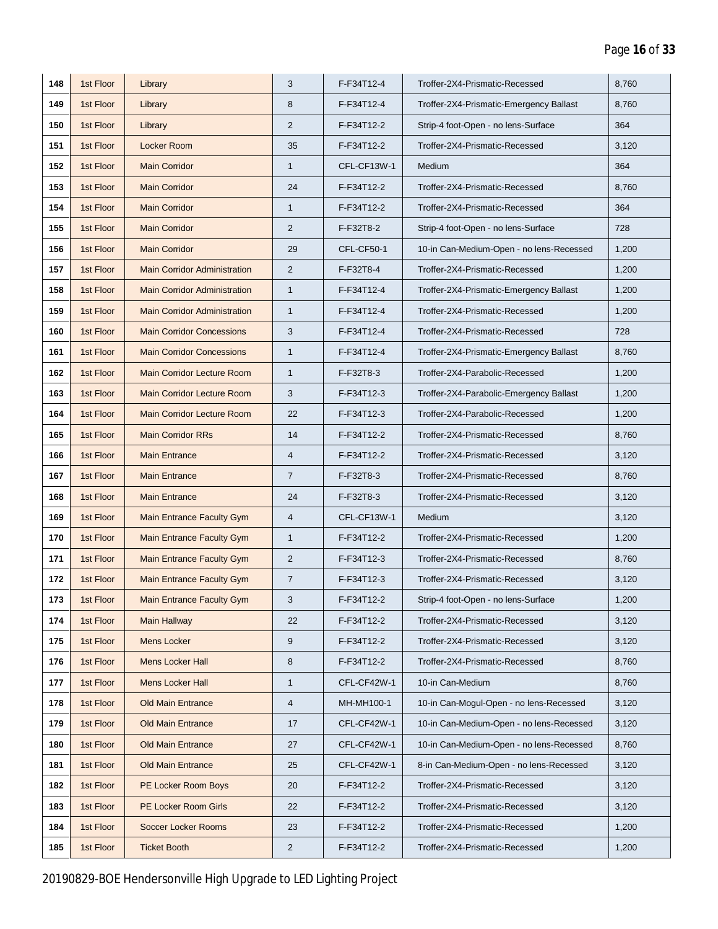| 148 | 1st Floor | Library                             | 3                | F-F34T12-4        | Troffer-2X4-Prismatic-Recessed           | 8,760 |
|-----|-----------|-------------------------------------|------------------|-------------------|------------------------------------------|-------|
| 149 | 1st Floor | Library                             | 8                | F-F34T12-4        | Troffer-2X4-Prismatic-Emergency Ballast  | 8,760 |
| 150 | 1st Floor | Library                             | $\overline{2}$   | F-F34T12-2        | Strip-4 foot-Open - no lens-Surface      | 364   |
| 151 | 1st Floor | Locker Room                         | 35               | F-F34T12-2        | Troffer-2X4-Prismatic-Recessed           | 3,120 |
| 152 | 1st Floor | <b>Main Corridor</b>                | $\mathbf{1}$     | CFL-CF13W-1       | Medium                                   | 364   |
| 153 | 1st Floor | <b>Main Corridor</b>                | 24               | F-F34T12-2        | Troffer-2X4-Prismatic-Recessed           | 8,760 |
| 154 | 1st Floor | <b>Main Corridor</b>                | $\mathbf{1}$     | F-F34T12-2        | Troffer-2X4-Prismatic-Recessed           | 364   |
| 155 | 1st Floor | <b>Main Corridor</b>                | $\overline{2}$   | F-F32T8-2         | Strip-4 foot-Open - no lens-Surface      | 728   |
| 156 | 1st Floor | <b>Main Corridor</b>                | 29               | <b>CFL-CF50-1</b> | 10-in Can-Medium-Open - no lens-Recessed | 1,200 |
| 157 | 1st Floor | <b>Main Corridor Administration</b> | 2                | F-F32T8-4         | Troffer-2X4-Prismatic-Recessed           | 1,200 |
| 158 | 1st Floor | <b>Main Corridor Administration</b> | $\mathbf{1}$     | F-F34T12-4        | Troffer-2X4-Prismatic-Emergency Ballast  | 1,200 |
| 159 | 1st Floor | <b>Main Corridor Administration</b> | $\mathbf{1}$     | F-F34T12-4        | Troffer-2X4-Prismatic-Recessed           | 1,200 |
| 160 | 1st Floor | <b>Main Corridor Concessions</b>    | 3                | F-F34T12-4        | Troffer-2X4-Prismatic-Recessed           | 728   |
| 161 | 1st Floor | <b>Main Corridor Concessions</b>    | $\mathbf{1}$     | F-F34T12-4        | Troffer-2X4-Prismatic-Emergency Ballast  | 8,760 |
| 162 | 1st Floor | <b>Main Corridor Lecture Room</b>   | $\mathbf{1}$     | F-F32T8-3         | Troffer-2X4-Parabolic-Recessed           | 1,200 |
| 163 | 1st Floor | <b>Main Corridor Lecture Room</b>   | 3                | F-F34T12-3        | Troffer-2X4-Parabolic-Emergency Ballast  | 1,200 |
| 164 | 1st Floor | <b>Main Corridor Lecture Room</b>   | 22               | F-F34T12-3        | Troffer-2X4-Parabolic-Recessed           | 1,200 |
| 165 | 1st Floor | <b>Main Corridor RRs</b>            | 14               | F-F34T12-2        | Troffer-2X4-Prismatic-Recessed           | 8,760 |
| 166 | 1st Floor | <b>Main Entrance</b>                | $\overline{4}$   | F-F34T12-2        | Troffer-2X4-Prismatic-Recessed           | 3,120 |
| 167 | 1st Floor | <b>Main Entrance</b>                | $\overline{7}$   | F-F32T8-3         | Troffer-2X4-Prismatic-Recessed           | 8,760 |
| 168 | 1st Floor | <b>Main Entrance</b>                | 24               | F-F32T8-3         | Troffer-2X4-Prismatic-Recessed           | 3,120 |
| 169 | 1st Floor | <b>Main Entrance Faculty Gym</b>    | $\overline{4}$   | CFL-CF13W-1       | Medium                                   | 3,120 |
| 170 | 1st Floor | <b>Main Entrance Faculty Gym</b>    | $\mathbf{1}$     | F-F34T12-2        | Troffer-2X4-Prismatic-Recessed           | 1,200 |
| 171 | 1st Floor | <b>Main Entrance Faculty Gym</b>    | $\overline{2}$   | F-F34T12-3        | Troffer-2X4-Prismatic-Recessed           | 8,760 |
| 172 | 1st Floor | <b>Main Entrance Faculty Gym</b>    | $\overline{7}$   | F-F34T12-3        | Troffer-2X4-Prismatic-Recessed           | 3,120 |
| 173 | 1st Floor | Main Entrance Faculty Gym           | 3                | F-F34T12-2        | Strip-4 foot-Open - no lens-Surface      | 1,200 |
| 174 | 1st Floor | <b>Main Hallway</b>                 | 22               | F-F34T12-2        | Troffer-2X4-Prismatic-Recessed           | 3,120 |
| 175 | 1st Floor | <b>Mens Locker</b>                  | $\boldsymbol{9}$ | F-F34T12-2        | Troffer-2X4-Prismatic-Recessed           | 3,120 |
| 176 | 1st Floor | <b>Mens Locker Hall</b>             | 8                | F-F34T12-2        | Troffer-2X4-Prismatic-Recessed           | 8,760 |
| 177 | 1st Floor | <b>Mens Locker Hall</b>             | $\mathbf{1}$     | CFL-CF42W-1       | 10-in Can-Medium                         | 8,760 |
| 178 | 1st Floor | <b>Old Main Entrance</b>            | $\overline{4}$   | MH-MH100-1        | 10-in Can-Mogul-Open - no lens-Recessed  | 3,120 |
| 179 | 1st Floor | <b>Old Main Entrance</b>            | 17               | CFL-CF42W-1       | 10-in Can-Medium-Open - no lens-Recessed | 3,120 |
| 180 | 1st Floor | <b>Old Main Entrance</b>            | 27               | CFL-CF42W-1       | 10-in Can-Medium-Open - no lens-Recessed | 8,760 |
| 181 | 1st Floor | <b>Old Main Entrance</b>            | 25               | CFL-CF42W-1       | 8-in Can-Medium-Open - no lens-Recessed  | 3,120 |
| 182 | 1st Floor | PE Locker Room Boys                 | 20               | F-F34T12-2        | Troffer-2X4-Prismatic-Recessed           | 3,120 |
| 183 | 1st Floor | PE Locker Room Girls                | 22               | F-F34T12-2        | Troffer-2X4-Prismatic-Recessed           | 3,120 |
| 184 | 1st Floor | <b>Soccer Locker Rooms</b>          | 23               | F-F34T12-2        | Troffer-2X4-Prismatic-Recessed           | 1,200 |
| 185 | 1st Floor | <b>Ticket Booth</b>                 | $\overline{2}$   | F-F34T12-2        | Troffer-2X4-Prismatic-Recessed           | 1,200 |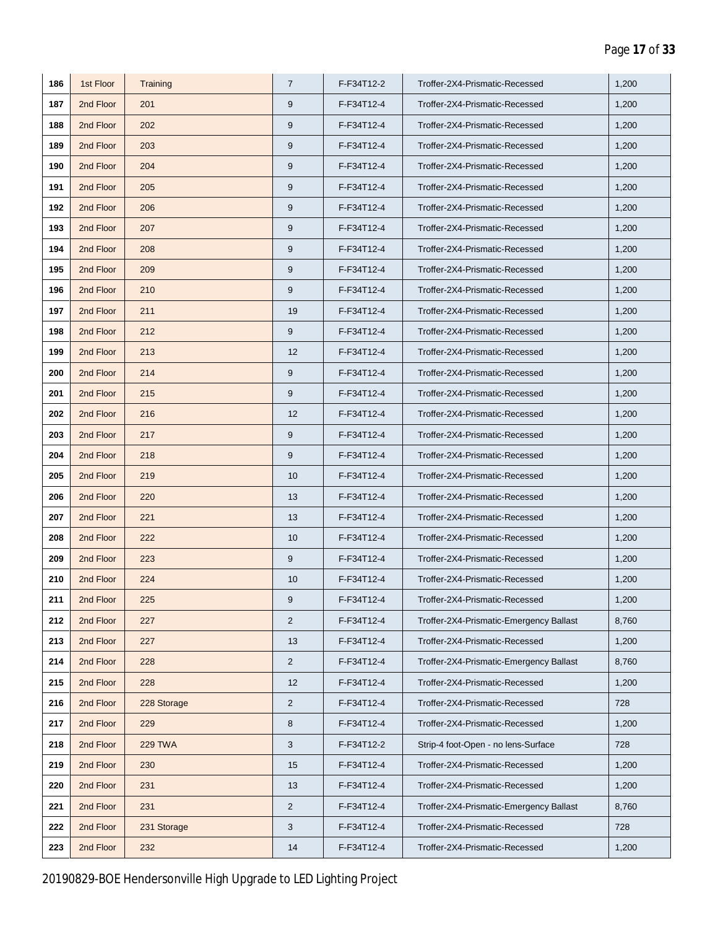| 186 | 1st Floor | Training       | $\overline{7}$ | F-F34T12-2 | Troffer-2X4-Prismatic-Recessed          | 1,200 |
|-----|-----------|----------------|----------------|------------|-----------------------------------------|-------|
| 187 | 2nd Floor | 201            | 9              | F-F34T12-4 | Troffer-2X4-Prismatic-Recessed          | 1,200 |
| 188 | 2nd Floor | 202            | 9              | F-F34T12-4 | Troffer-2X4-Prismatic-Recessed          | 1,200 |
| 189 | 2nd Floor | 203            | 9              | F-F34T12-4 | Troffer-2X4-Prismatic-Recessed          | 1,200 |
| 190 | 2nd Floor | 204            | 9              | F-F34T12-4 | Troffer-2X4-Prismatic-Recessed          | 1,200 |
| 191 | 2nd Floor | 205            | 9              | F-F34T12-4 | Troffer-2X4-Prismatic-Recessed          | 1,200 |
| 192 | 2nd Floor | 206            | 9              | F-F34T12-4 | Troffer-2X4-Prismatic-Recessed          | 1,200 |
| 193 | 2nd Floor | 207            | 9              | F-F34T12-4 | Troffer-2X4-Prismatic-Recessed          | 1,200 |
| 194 | 2nd Floor | 208            | 9              | F-F34T12-4 | Troffer-2X4-Prismatic-Recessed          | 1,200 |
| 195 | 2nd Floor | 209            | 9              | F-F34T12-4 | Troffer-2X4-Prismatic-Recessed          | 1,200 |
| 196 | 2nd Floor | 210            | 9              | F-F34T12-4 | Troffer-2X4-Prismatic-Recessed          | 1,200 |
| 197 | 2nd Floor | 211            | 19             | F-F34T12-4 | Troffer-2X4-Prismatic-Recessed          | 1,200 |
| 198 | 2nd Floor | 212            | 9              | F-F34T12-4 | Troffer-2X4-Prismatic-Recessed          | 1,200 |
| 199 | 2nd Floor | 213            | 12             | F-F34T12-4 | Troffer-2X4-Prismatic-Recessed          | 1,200 |
| 200 | 2nd Floor | 214            | 9              | F-F34T12-4 | Troffer-2X4-Prismatic-Recessed          | 1,200 |
| 201 | 2nd Floor | 215            | 9              | F-F34T12-4 | Troffer-2X4-Prismatic-Recessed          | 1,200 |
| 202 | 2nd Floor | 216            | 12             | F-F34T12-4 | Troffer-2X4-Prismatic-Recessed          | 1,200 |
| 203 | 2nd Floor | 217            | 9              | F-F34T12-4 | Troffer-2X4-Prismatic-Recessed          | 1,200 |
| 204 | 2nd Floor | 218            | 9              | F-F34T12-4 | Troffer-2X4-Prismatic-Recessed          | 1,200 |
| 205 | 2nd Floor | 219            | 10             | F-F34T12-4 | Troffer-2X4-Prismatic-Recessed          | 1,200 |
| 206 | 2nd Floor | 220            | 13             | F-F34T12-4 | Troffer-2X4-Prismatic-Recessed          | 1,200 |
| 207 | 2nd Floor | 221            | 13             | F-F34T12-4 | Troffer-2X4-Prismatic-Recessed          | 1,200 |
| 208 | 2nd Floor | 222            | 10             | F-F34T12-4 | Troffer-2X4-Prismatic-Recessed          | 1,200 |
| 209 | 2nd Floor | 223            | 9              | F-F34T12-4 | Troffer-2X4-Prismatic-Recessed          | 1,200 |
| 210 | 2nd Floor | 224            | 10             | F-F34T12-4 | Troffer-2X4-Prismatic-Recessed          | 1,200 |
| 211 | 2nd Floor | 225            | 9              | F-F34T12-4 | Troffer-2X4-Prismatic-Recessed          | 1,200 |
| 212 | 2nd Floor | 227            | $\overline{2}$ | F-F34T12-4 | Troffer-2X4-Prismatic-Emergency Ballast | 8,760 |
| 213 | 2nd Floor | 227            | 13             | F-F34T12-4 | Troffer-2X4-Prismatic-Recessed          | 1,200 |
| 214 | 2nd Floor | 228            | $\overline{2}$ | F-F34T12-4 | Troffer-2X4-Prismatic-Emergency Ballast | 8,760 |
| 215 | 2nd Floor | 228            | 12             | F-F34T12-4 | Troffer-2X4-Prismatic-Recessed          | 1,200 |
| 216 | 2nd Floor | 228 Storage    | $\overline{2}$ | F-F34T12-4 | Troffer-2X4-Prismatic-Recessed          | 728   |
| 217 | 2nd Floor | 229            | 8              | F-F34T12-4 | Troffer-2X4-Prismatic-Recessed          | 1,200 |
| 218 | 2nd Floor | <b>229 TWA</b> | 3              | F-F34T12-2 | Strip-4 foot-Open - no lens-Surface     | 728   |
| 219 | 2nd Floor | 230            | 15             | F-F34T12-4 | Troffer-2X4-Prismatic-Recessed          | 1,200 |
| 220 | 2nd Floor | 231            | 13             | F-F34T12-4 | Troffer-2X4-Prismatic-Recessed          | 1,200 |
| 221 | 2nd Floor | 231            | $\overline{2}$ | F-F34T12-4 | Troffer-2X4-Prismatic-Emergency Ballast | 8,760 |
| 222 | 2nd Floor | 231 Storage    | $\mathbf{3}$   | F-F34T12-4 | Troffer-2X4-Prismatic-Recessed          | 728   |
| 223 | 2nd Floor | 232            | 14             | F-F34T12-4 | Troffer-2X4-Prismatic-Recessed          | 1,200 |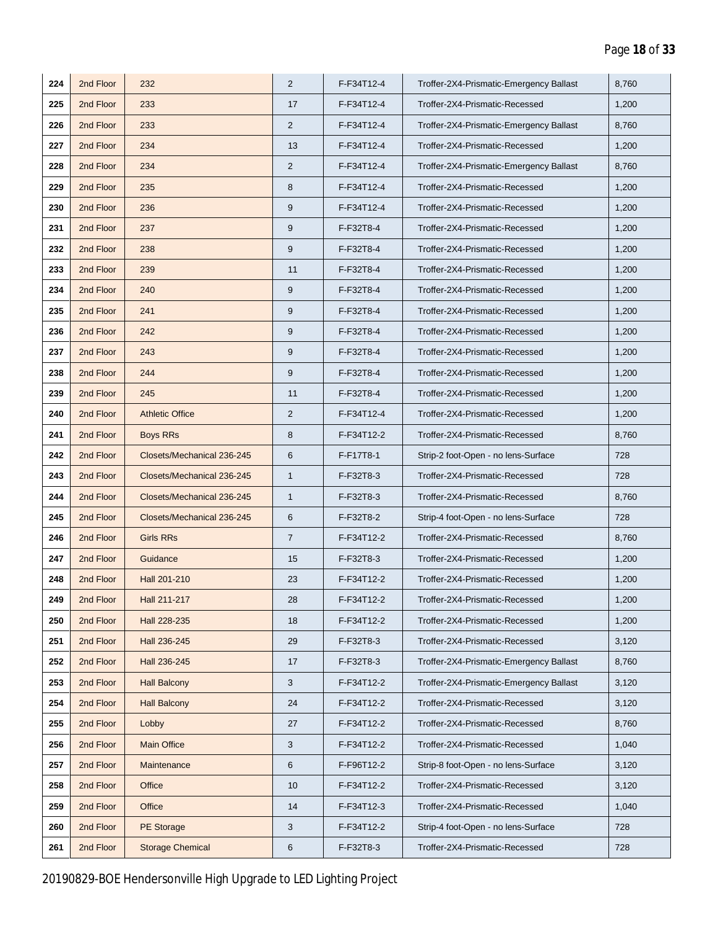| 224 | 2nd Floor | 232                        | 2              | F-F34T12-4 | Troffer-2X4-Prismatic-Emergency Ballast | 8,760 |
|-----|-----------|----------------------------|----------------|------------|-----------------------------------------|-------|
| 225 | 2nd Floor | 233                        | 17             | F-F34T12-4 | Troffer-2X4-Prismatic-Recessed          | 1,200 |
| 226 | 2nd Floor | 233                        | $\overline{2}$ | F-F34T12-4 | Troffer-2X4-Prismatic-Emergency Ballast | 8,760 |
| 227 | 2nd Floor | 234                        | 13             | F-F34T12-4 | Troffer-2X4-Prismatic-Recessed          | 1,200 |
| 228 | 2nd Floor | 234                        | 2              | F-F34T12-4 | Troffer-2X4-Prismatic-Emergency Ballast | 8,760 |
| 229 | 2nd Floor | 235                        | 8              | F-F34T12-4 | Troffer-2X4-Prismatic-Recessed          | 1,200 |
| 230 | 2nd Floor | 236                        | 9              | F-F34T12-4 | Troffer-2X4-Prismatic-Recessed          | 1,200 |
| 231 | 2nd Floor | 237                        | 9              | F-F32T8-4  | Troffer-2X4-Prismatic-Recessed          | 1,200 |
| 232 | 2nd Floor | 238                        | 9              | F-F32T8-4  | Troffer-2X4-Prismatic-Recessed          | 1,200 |
| 233 | 2nd Floor | 239                        | 11             | F-F32T8-4  | Troffer-2X4-Prismatic-Recessed          | 1,200 |
| 234 | 2nd Floor | 240                        | $9\,$          | F-F32T8-4  | Troffer-2X4-Prismatic-Recessed          | 1,200 |
| 235 | 2nd Floor | 241                        | 9              | F-F32T8-4  | Troffer-2X4-Prismatic-Recessed          | 1,200 |
| 236 | 2nd Floor | 242                        | 9              | F-F32T8-4  | Troffer-2X4-Prismatic-Recessed          | 1,200 |
| 237 | 2nd Floor | 243                        | 9              | F-F32T8-4  | Troffer-2X4-Prismatic-Recessed          | 1,200 |
| 238 | 2nd Floor | 244                        | 9              | F-F32T8-4  | Troffer-2X4-Prismatic-Recessed          | 1,200 |
| 239 | 2nd Floor | 245                        | 11             | F-F32T8-4  | Troffer-2X4-Prismatic-Recessed          | 1,200 |
| 240 | 2nd Floor | <b>Athletic Office</b>     | $\overline{2}$ | F-F34T12-4 | Troffer-2X4-Prismatic-Recessed          | 1,200 |
| 241 | 2nd Floor | <b>Boys RRs</b>            | 8              | F-F34T12-2 | Troffer-2X4-Prismatic-Recessed          | 8,760 |
| 242 | 2nd Floor | Closets/Mechanical 236-245 | 6              | F-F17T8-1  | Strip-2 foot-Open - no lens-Surface     | 728   |
| 243 | 2nd Floor | Closets/Mechanical 236-245 | $\mathbf{1}$   | F-F32T8-3  | Troffer-2X4-Prismatic-Recessed          | 728   |
| 244 | 2nd Floor | Closets/Mechanical 236-245 | $\mathbf{1}$   | F-F32T8-3  | Troffer-2X4-Prismatic-Recessed          | 8,760 |
| 245 | 2nd Floor | Closets/Mechanical 236-245 | 6              | F-F32T8-2  | Strip-4 foot-Open - no lens-Surface     | 728   |
| 246 | 2nd Floor | <b>Girls RRs</b>           | $\overline{7}$ | F-F34T12-2 | Troffer-2X4-Prismatic-Recessed          | 8,760 |
| 247 | 2nd Floor | Guidance                   | 15             | F-F32T8-3  | Troffer-2X4-Prismatic-Recessed          | 1,200 |
| 248 | 2nd Floor | Hall 201-210               | 23             | F-F34T12-2 | Troffer-2X4-Prismatic-Recessed          | 1,200 |
| 249 | 2nd Floor | Hall 211-217               | 28             | F-F34T12-2 | Troffer-2X4-Prismatic-Recessed          | 1,200 |
| 250 | 2nd Floor | Hall 228-235               | 18             | F-F34T12-2 | Troffer-2X4-Prismatic-Recessed          | 1,200 |
| 251 | 2nd Floor | Hall 236-245               | 29             | F-F32T8-3  | Troffer-2X4-Prismatic-Recessed          | 3,120 |
| 252 | 2nd Floor | Hall 236-245               | 17             | F-F32T8-3  | Troffer-2X4-Prismatic-Emergency Ballast | 8,760 |
| 253 | 2nd Floor | <b>Hall Balcony</b>        | 3              | F-F34T12-2 | Troffer-2X4-Prismatic-Emergency Ballast | 3,120 |
| 254 | 2nd Floor | <b>Hall Balcony</b>        | 24             | F-F34T12-2 | Troffer-2X4-Prismatic-Recessed          | 3,120 |
| 255 | 2nd Floor | Lobby                      | 27             | F-F34T12-2 | Troffer-2X4-Prismatic-Recessed          | 8,760 |
| 256 | 2nd Floor | <b>Main Office</b>         | 3              | F-F34T12-2 | Troffer-2X4-Prismatic-Recessed          | 1,040 |
| 257 | 2nd Floor | Maintenance                | 6              | F-F96T12-2 | Strip-8 foot-Open - no lens-Surface     | 3,120 |
| 258 | 2nd Floor | Office                     | 10             | F-F34T12-2 | Troffer-2X4-Prismatic-Recessed          | 3,120 |
| 259 | 2nd Floor | Office                     | 14             | F-F34T12-3 | Troffer-2X4-Prismatic-Recessed          | 1,040 |
| 260 | 2nd Floor | <b>PE Storage</b>          | 3              | F-F34T12-2 | Strip-4 foot-Open - no lens-Surface     | 728   |
| 261 | 2nd Floor | <b>Storage Chemical</b>    | 6              | F-F32T8-3  | Troffer-2X4-Prismatic-Recessed          | 728   |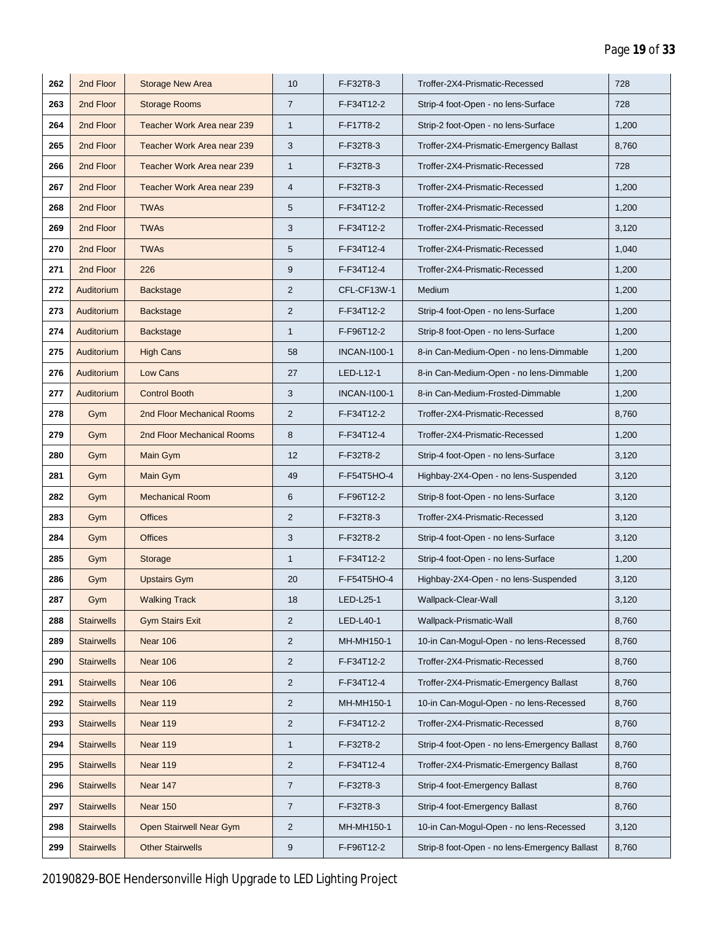| 262 | 2nd Floor         | <b>Storage New Area</b>    | 10               | F-F32T8-3           | Troffer-2X4-Prismatic-Recessed                | 728   |
|-----|-------------------|----------------------------|------------------|---------------------|-----------------------------------------------|-------|
| 263 | 2nd Floor         | <b>Storage Rooms</b>       | $\overline{7}$   | F-F34T12-2          | Strip-4 foot-Open - no lens-Surface           | 728   |
| 264 | 2nd Floor         | Teacher Work Area near 239 | $\mathbf{1}$     | F-F17T8-2           | Strip-2 foot-Open - no lens-Surface           | 1,200 |
| 265 | 2nd Floor         | Teacher Work Area near 239 | 3                | F-F32T8-3           | Troffer-2X4-Prismatic-Emergency Ballast       | 8,760 |
| 266 | 2nd Floor         | Teacher Work Area near 239 | $\mathbf{1}$     | F-F32T8-3           | Troffer-2X4-Prismatic-Recessed                | 728   |
| 267 | 2nd Floor         | Teacher Work Area near 239 | $\overline{4}$   | F-F32T8-3           | Troffer-2X4-Prismatic-Recessed                | 1,200 |
| 268 | 2nd Floor         | <b>TWAs</b>                | 5                | F-F34T12-2          | Troffer-2X4-Prismatic-Recessed                | 1,200 |
| 269 | 2nd Floor         | <b>TWAs</b>                | 3                | F-F34T12-2          | Troffer-2X4-Prismatic-Recessed                | 3,120 |
| 270 | 2nd Floor         | <b>TWAs</b>                | 5                | F-F34T12-4          | Troffer-2X4-Prismatic-Recessed                | 1,040 |
| 271 | 2nd Floor         | 226                        | 9                | F-F34T12-4          | Troffer-2X4-Prismatic-Recessed                | 1,200 |
| 272 | Auditorium        | <b>Backstage</b>           | $\overline{2}$   | CFL-CF13W-1         | Medium                                        | 1,200 |
| 273 | Auditorium        | Backstage                  | $\overline{2}$   | F-F34T12-2          | Strip-4 foot-Open - no lens-Surface           | 1,200 |
| 274 | Auditorium        | <b>Backstage</b>           | $\mathbf{1}$     | F-F96T12-2          | Strip-8 foot-Open - no lens-Surface           | 1,200 |
| 275 | Auditorium        | <b>High Cans</b>           | 58               | <b>INCAN-I100-1</b> | 8-in Can-Medium-Open - no lens-Dimmable       | 1,200 |
| 276 | Auditorium        | Low Cans                   | 27               | LED-L12-1           | 8-in Can-Medium-Open - no lens-Dimmable       | 1,200 |
| 277 | Auditorium        | <b>Control Booth</b>       | 3                | <b>INCAN-I100-1</b> | 8-in Can-Medium-Frosted-Dimmable              | 1,200 |
| 278 | Gym               | 2nd Floor Mechanical Rooms | $\overline{2}$   | F-F34T12-2          | Troffer-2X4-Prismatic-Recessed                | 8,760 |
| 279 | Gym               | 2nd Floor Mechanical Rooms | 8                | F-F34T12-4          | Troffer-2X4-Prismatic-Recessed                | 1,200 |
| 280 | Gym               | Main Gym                   | 12               | F-F32T8-2           | Strip-4 foot-Open - no lens-Surface           | 3,120 |
| 281 | Gym               | Main Gym                   | 49               | F-F54T5HO-4         | Highbay-2X4-Open - no lens-Suspended          | 3,120 |
| 282 | Gym               | <b>Mechanical Room</b>     | 6                | F-F96T12-2          | Strip-8 foot-Open - no lens-Surface           | 3,120 |
| 283 | Gym               | <b>Offices</b>             | $\overline{2}$   | F-F32T8-3           | Troffer-2X4-Prismatic-Recessed                | 3,120 |
| 284 | Gym               | <b>Offices</b>             | 3                | F-F32T8-2           | Strip-4 foot-Open - no lens-Surface           | 3,120 |
| 285 | Gym               | Storage                    | $\mathbf{1}$     | F-F34T12-2          | Strip-4 foot-Open - no lens-Surface           | 1,200 |
| 286 | Gym               | <b>Upstairs Gym</b>        | 20               | F-F54T5HO-4         | Highbay-2X4-Open - no lens-Suspended          | 3,120 |
| 287 | Gym               | <b>Walking Track</b>       | 18               | LED-L25-1           | Wallpack-Clear-Wall                           | 3,120 |
| 288 | <b>Stairwells</b> | <b>Gym Stairs Exit</b>     | $\overline{2}$   | LED-L40-1           | Wallpack-Prismatic-Wall                       | 8,760 |
| 289 | <b>Stairwells</b> | <b>Near 106</b>            | $\overline{2}$   | MH-MH150-1          | 10-in Can-Mogul-Open - no lens-Recessed       | 8,760 |
| 290 | <b>Stairwells</b> | <b>Near 106</b>            | $\overline{2}$   | F-F34T12-2          | Troffer-2X4-Prismatic-Recessed                | 8,760 |
| 291 | <b>Stairwells</b> | Near 106                   | $\overline{2}$   | F-F34T12-4          | Troffer-2X4-Prismatic-Emergency Ballast       | 8,760 |
| 292 | <b>Stairwells</b> | Near 119                   | $\overline{2}$   | MH-MH150-1          | 10-in Can-Mogul-Open - no lens-Recessed       | 8,760 |
| 293 | <b>Stairwells</b> | Near 119                   | $\overline{2}$   | F-F34T12-2          | Troffer-2X4-Prismatic-Recessed                | 8,760 |
| 294 | <b>Stairwells</b> | Near 119                   | $\mathbf{1}$     | F-F32T8-2           | Strip-4 foot-Open - no lens-Emergency Ballast | 8,760 |
| 295 | <b>Stairwells</b> | Near 119                   | $\overline{c}$   | F-F34T12-4          | Troffer-2X4-Prismatic-Emergency Ballast       | 8,760 |
| 296 | <b>Stairwells</b> | Near 147                   | $\overline{7}$   | F-F32T8-3           | Strip-4 foot-Emergency Ballast                | 8,760 |
| 297 | <b>Stairwells</b> | <b>Near 150</b>            | $\overline{7}$   | F-F32T8-3           | Strip-4 foot-Emergency Ballast                | 8,760 |
| 298 | <b>Stairwells</b> | Open Stairwell Near Gym    | $\overline{2}$   | MH-MH150-1          | 10-in Can-Mogul-Open - no lens-Recessed       | 3,120 |
| 299 | <b>Stairwells</b> | <b>Other Stairwells</b>    | $\boldsymbol{9}$ | F-F96T12-2          | Strip-8 foot-Open - no lens-Emergency Ballast | 8,760 |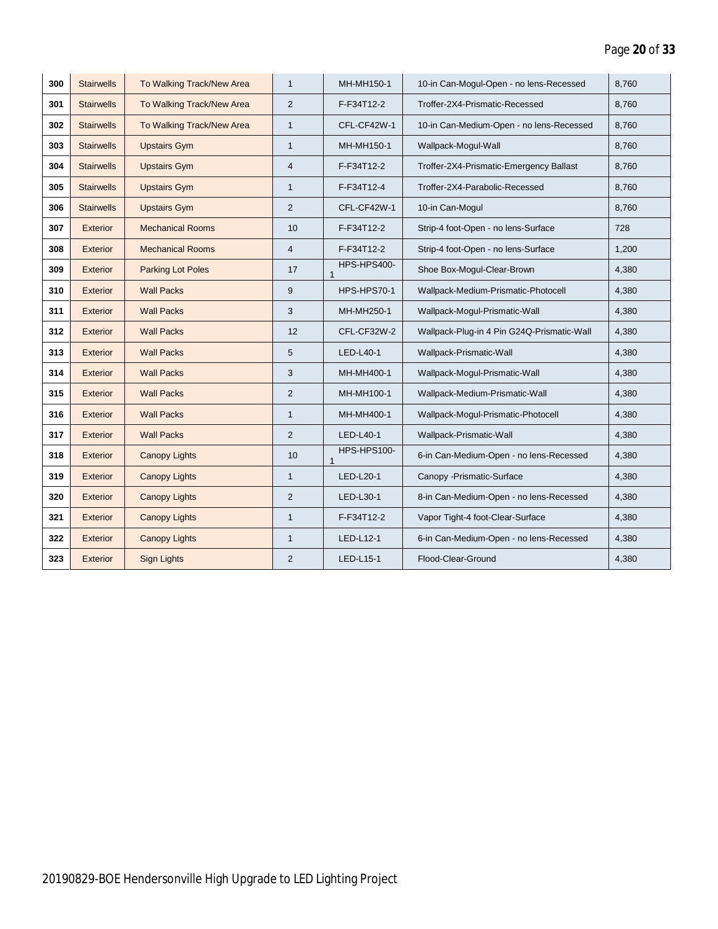| 300 | <b>Stairwells</b> | To Walking Track/New Area | $\mathbf{1}$   | MH-MH150-1                  | 10-in Can-Mogul-Open - no lens-Recessed    | 8,760 |
|-----|-------------------|---------------------------|----------------|-----------------------------|--------------------------------------------|-------|
| 301 | <b>Stairwells</b> | To Walking Track/New Area | $\overline{2}$ | F-F34T12-2                  | Troffer-2X4-Prismatic-Recessed             | 8,760 |
| 302 | <b>Stairwells</b> | To Walking Track/New Area | $\mathbf{1}$   | CFL-CF42W-1                 | 10-in Can-Medium-Open - no lens-Recessed   | 8,760 |
| 303 | <b>Stairwells</b> | <b>Upstairs Gym</b>       | $\mathbf{1}$   | MH-MH150-1                  | Wallpack-Mogul-Wall                        | 8.760 |
| 304 | <b>Stairwells</b> | <b>Upstairs Gym</b>       | $\overline{4}$ | F-F34T12-2                  | Troffer-2X4-Prismatic-Emergency Ballast    | 8,760 |
| 305 | <b>Stairwells</b> | <b>Upstairs Gym</b>       | $\mathbf{1}$   | F-F34T12-4                  | Troffer-2X4-Parabolic-Recessed             | 8,760 |
| 306 | <b>Stairwells</b> | <b>Upstairs Gym</b>       | 2              | CFL-CF42W-1                 | 10-in Can-Mogul                            | 8,760 |
| 307 | Exterior          | <b>Mechanical Rooms</b>   | 10             | F-F34T12-2                  | Strip-4 foot-Open - no lens-Surface        | 728   |
| 308 | <b>Exterior</b>   | <b>Mechanical Rooms</b>   | $\overline{4}$ | F-F34T12-2                  | Strip-4 foot-Open - no lens-Surface        | 1,200 |
| 309 | <b>Exterior</b>   | <b>Parking Lot Poles</b>  | 17             | HPS-HPS400-<br>$\mathbf{1}$ | Shoe Box-Mogul-Clear-Brown                 | 4,380 |
| 310 | <b>Exterior</b>   | <b>Wall Packs</b>         | 9              | HPS-HPS70-1                 | Wallpack-Medium-Prismatic-Photocell        | 4,380 |
| 311 | <b>Exterior</b>   | <b>Wall Packs</b>         | 3              | MH-MH250-1                  | Wallpack-Mogul-Prismatic-Wall              | 4,380 |
| 312 | <b>Exterior</b>   | <b>Wall Packs</b>         | 12             | CFL-CF32W-2                 | Wallpack-Plug-in 4 Pin G24Q-Prismatic-Wall | 4,380 |
| 313 | <b>Exterior</b>   | <b>Wall Packs</b>         | 5              | LED-L40-1                   | Wallpack-Prismatic-Wall                    | 4,380 |
| 314 | <b>Exterior</b>   | <b>Wall Packs</b>         | 3              | MH-MH400-1                  | Wallpack-Mogul-Prismatic-Wall              | 4,380 |
| 315 | <b>Exterior</b>   | <b>Wall Packs</b>         | $\overline{2}$ | MH-MH100-1                  | Wallpack-Medium-Prismatic-Wall             | 4,380 |
| 316 | <b>Exterior</b>   | <b>Wall Packs</b>         | $\mathbf{1}$   | MH-MH400-1                  | Wallpack-Mogul-Prismatic-Photocell         | 4,380 |
| 317 | <b>Exterior</b>   | <b>Wall Packs</b>         | $\overline{2}$ | LED-L40-1                   | Wallpack-Prismatic-Wall                    | 4,380 |
| 318 | Exterior          | <b>Canopy Lights</b>      | 10             | HPS-HPS100-<br>$\mathbf{1}$ | 6-in Can-Medium-Open - no lens-Recessed    | 4,380 |
| 319 | <b>Exterior</b>   | <b>Canopy Lights</b>      | $\mathbf{1}$   | LED-L20-1                   | Canopy -Prismatic-Surface                  | 4,380 |
| 320 | <b>Exterior</b>   | <b>Canopy Lights</b>      | 2              | LED-L30-1                   | 8-in Can-Medium-Open - no lens-Recessed    | 4,380 |
| 321 | <b>Exterior</b>   | <b>Canopy Lights</b>      | $\mathbf{1}$   | F-F34T12-2                  | Vapor Tight-4 foot-Clear-Surface           | 4,380 |
| 322 | <b>Exterior</b>   | <b>Canopy Lights</b>      | $\mathbf{1}$   | LED-L12-1                   | 6-in Can-Medium-Open - no lens-Recessed    | 4,380 |
| 323 | Exterior          | <b>Sign Lights</b>        | $\overline{2}$ | LED-L15-1                   | Flood-Clear-Ground                         | 4,380 |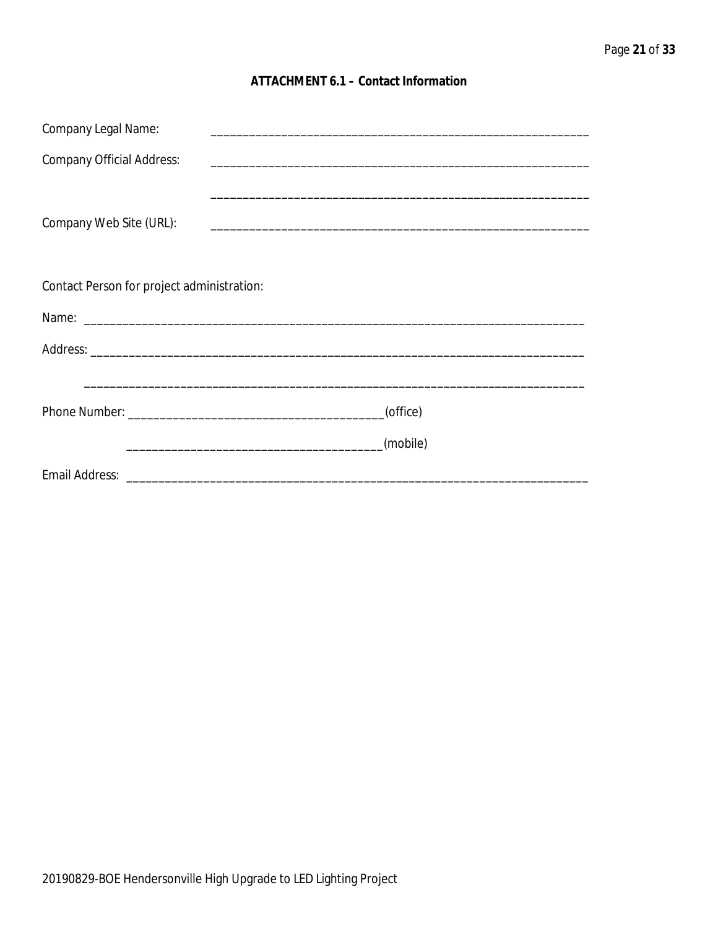### **ATTACHMENT 6.1 - Contact Information**

| Company Legal Name:                        |          |  |  |  |
|--------------------------------------------|----------|--|--|--|
| <b>Company Official Address:</b>           |          |  |  |  |
|                                            |          |  |  |  |
| Company Web Site (URL):                    |          |  |  |  |
|                                            |          |  |  |  |
| Contact Person for project administration: |          |  |  |  |
|                                            |          |  |  |  |
|                                            |          |  |  |  |
|                                            |          |  |  |  |
|                                            | (office) |  |  |  |
|                                            | (mobile) |  |  |  |
|                                            |          |  |  |  |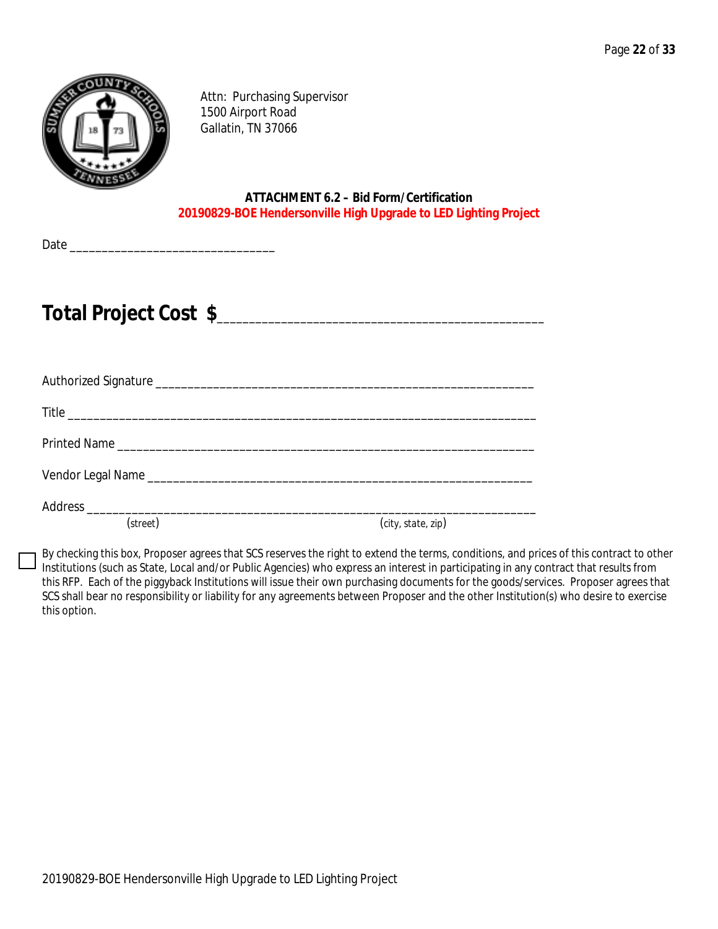

Attn: Purchasing Supervisor 1500 Airport Road Gallatin, TN 37066

**ATTACHMENT 6.2 – Bid Form/Certification 20190829-BOE Hendersonville High Upgrade to LED Lighting Project**

Date \_\_\_\_\_\_\_\_\_\_\_\_\_\_\_\_\_\_\_\_\_\_\_\_\_\_\_\_\_\_\_\_

# **Total Project Cost \$**\_\_\_\_\_\_\_\_\_\_\_\_\_\_\_\_\_\_\_\_\_\_\_\_\_\_\_\_\_\_\_\_\_\_\_\_\_\_\_\_\_\_\_\_\_\_\_\_\_\_\_

| (street) | (city, state, zip) |
|----------|--------------------|

By checking this box, Proposer agrees that SCS reserves the right to extend the terms, conditions, and prices of this contract to other Institutions (such as State, Local and/or Public Agencies) who express an interest in participating in any contract that results from this RFP. Each of the piggyback Institutions will issue their own purchasing documents for the goods/services. Proposer agrees that SCS shall bear no responsibility or liability for any agreements between Proposer and the other Institution(s) who desire to exercise this option.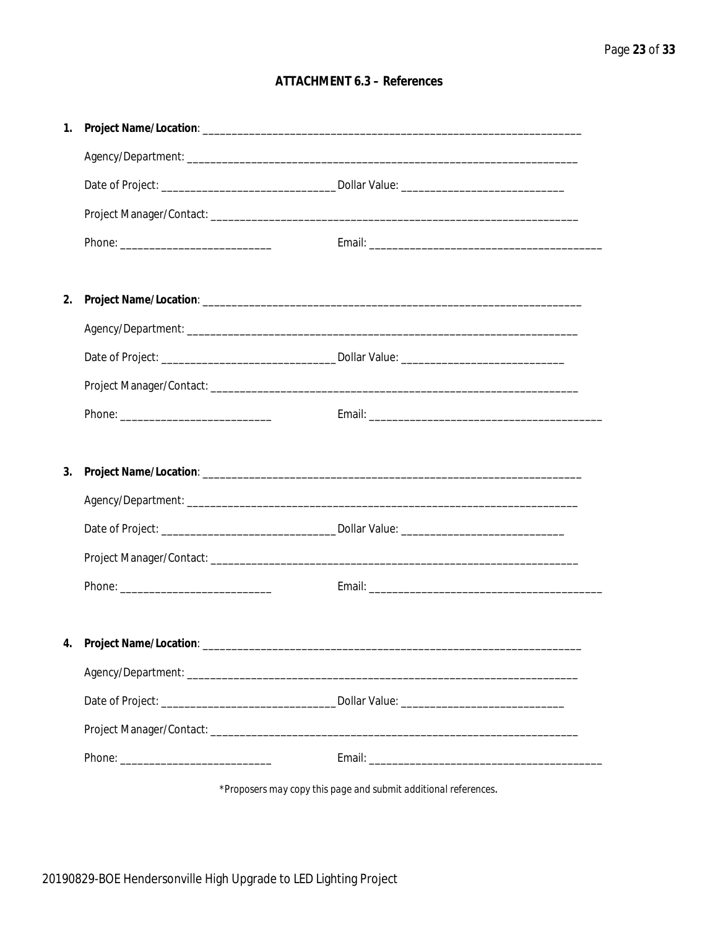### **ATTACHMENT 6.3 - References**

| 1. |                                    |  |
|----|------------------------------------|--|
|    |                                    |  |
|    |                                    |  |
|    |                                    |  |
|    |                                    |  |
|    |                                    |  |
| 2. |                                    |  |
|    |                                    |  |
|    |                                    |  |
|    |                                    |  |
|    |                                    |  |
|    |                                    |  |
| 3. |                                    |  |
|    |                                    |  |
|    |                                    |  |
|    |                                    |  |
|    |                                    |  |
|    |                                    |  |
|    | 4. Project Name/Location: ________ |  |
|    |                                    |  |
|    |                                    |  |
|    |                                    |  |
|    |                                    |  |
|    |                                    |  |

\*Proposers may copy this page and submit additional references.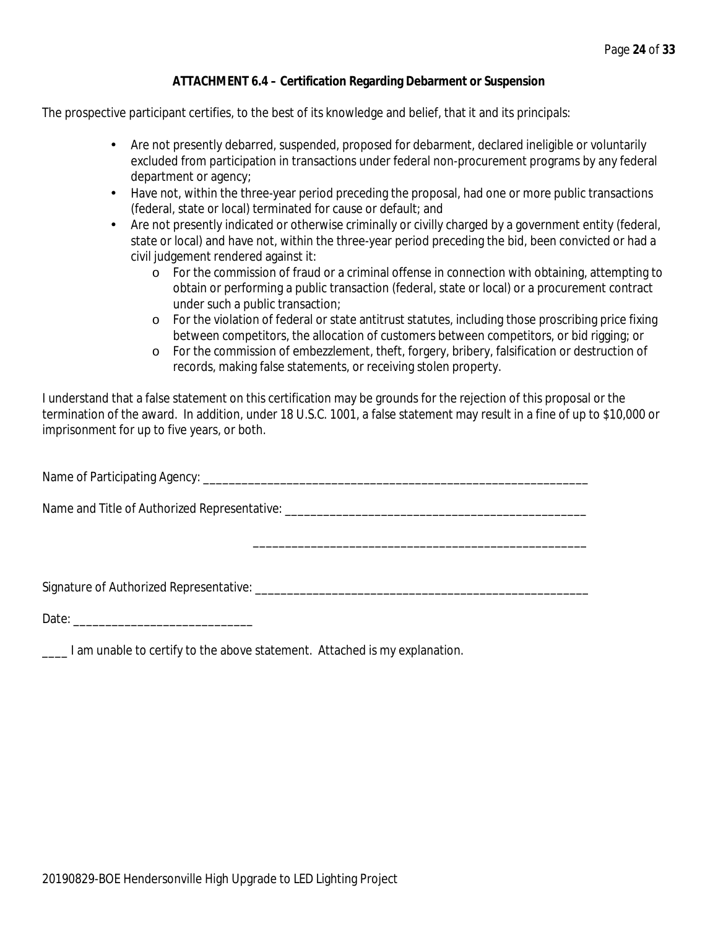### **ATTACHMENT 6.4 – Certification Regarding Debarment or Suspension**

The prospective participant certifies, to the best of its knowledge and belief, that it and its principals:

- $\mathcal{L}^{\text{max}}$ Are not presently debarred, suspended, proposed for debarment, declared ineligible or voluntarily excluded from participation in transactions under federal non-procurement programs by any federal department or agency;
- $\mathcal{L}^{\text{max}}$ Have not, within the three-year period preceding the proposal, had one or more public transactions (federal, state or local) terminated for cause or default; and
- $\mathcal{L}^{\text{max}}$ Are not presently indicated or otherwise criminally or civilly charged by a government entity (federal, state or local) and have not, within the three-year period preceding the bid, been convicted or had a civil judgement rendered against it:
	- o For the commission of fraud or a criminal offense in connection with obtaining, attempting to obtain or performing a public transaction (federal, state or local) or a procurement contract under such a public transaction;
	- o For the violation of federal or state antitrust statutes, including those proscribing price fixing between competitors, the allocation of customers between competitors, or bid rigging; or
	- o For the commission of embezzlement, theft, forgery, bribery, falsification or destruction of records, making false statements, or receiving stolen property.

\_\_\_\_\_\_\_\_\_\_\_\_\_\_\_\_\_\_\_\_\_\_\_\_\_\_\_\_\_\_\_\_\_\_\_\_\_\_\_\_\_\_\_\_\_\_\_\_\_\_\_\_

I understand that a false statement on this certification may be grounds for the rejection of this proposal or the termination of the award. In addition, under 18 U.S.C. 1001, a false statement may result in a fine of up to \$10,000 or imprisonment for up to five years, or both.

Name of Participating Agency: \_\_\_\_\_\_\_\_\_\_\_\_\_\_\_\_\_\_\_\_\_\_\_\_\_\_\_\_\_\_\_\_\_\_\_\_\_\_\_\_\_\_\_\_\_\_\_\_\_\_\_\_\_\_\_\_\_\_\_\_

Name and Title of Authorized Representative: \_\_\_\_\_\_\_\_\_\_\_\_\_\_\_\_\_\_\_\_\_\_\_\_\_\_\_\_\_\_\_\_\_\_\_

Signature of Authorized Representative: \_\_\_\_\_\_\_\_\_\_\_\_\_\_\_\_\_\_\_\_\_\_\_\_\_\_\_\_\_\_\_\_\_\_\_\_\_\_\_\_\_\_\_\_\_\_\_\_\_\_\_\_

Date: \_\_\_\_\_\_\_\_\_\_\_\_\_\_\_\_\_\_\_\_\_\_\_\_\_\_\_\_

**\_\_\_\_** I am unable to certify to the above statement. Attached is my explanation.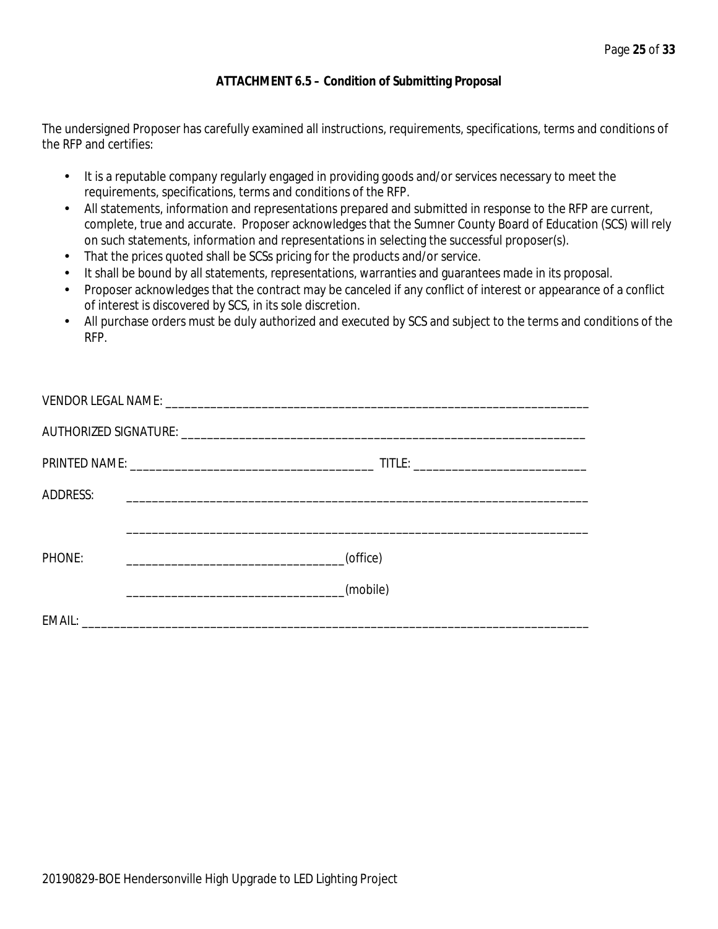### **ATTACHMENT 6.5 – Condition of Submitting Proposal**

The undersigned Proposer has carefully examined all instructions, requirements, specifications, terms and conditions of the RFP and certifies:

- $\mathbf{r}$ It is a reputable company regularly engaged in providing goods and/or services necessary to meet the requirements, specifications, terms and conditions of the RFP.
- All statements, information and representations prepared and submitted in response to the RFP are current, complete, true and accurate. Proposer acknowledges that the Sumner County Board of Education (SCS) will rely on such statements, information and representations in selecting the successful proposer(s).
- That the prices quoted shall be SCSs pricing for the products and/or service. t.
- It shall be bound by all statements, representations, warranties and guarantees made in its proposal.
- Proposer acknowledges that the contract may be canceled if any conflict of interest or appearance of a conflict of interest is discovered by SCS, in its sole discretion.
- All purchase orders must be duly authorized and executed by SCS and subject to the terms and conditions of the RFP.

| <b>ADDRESS:</b> |          |  |  |  |  |  |
|-----------------|----------|--|--|--|--|--|
|                 |          |  |  |  |  |  |
| PHONE:          | (office) |  |  |  |  |  |
|                 | (mobile) |  |  |  |  |  |
|                 |          |  |  |  |  |  |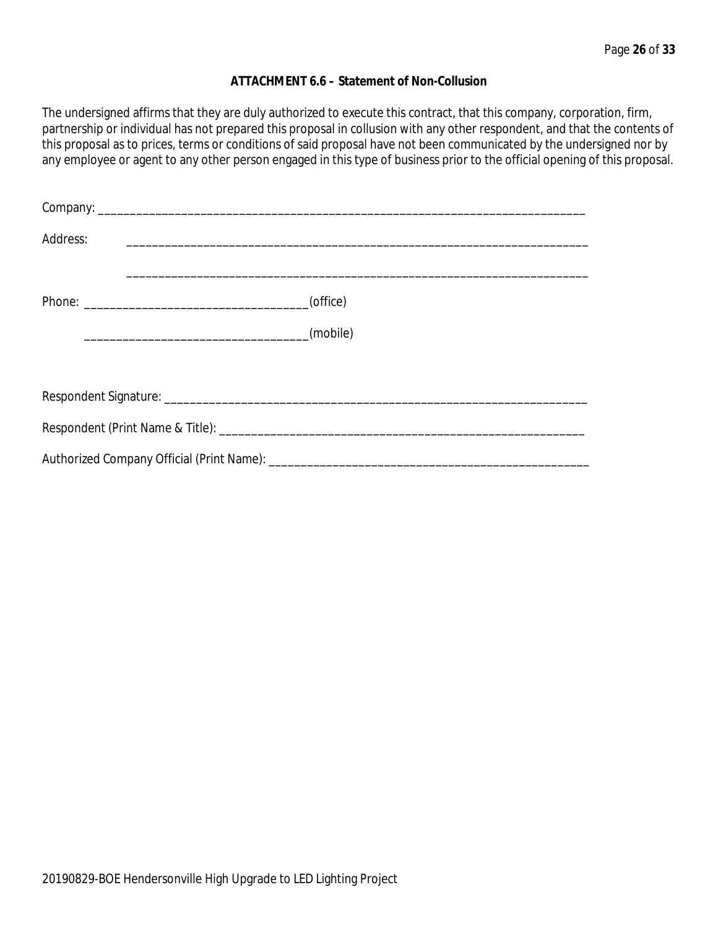### **ATTACHMENT 6.6 – Statement of Non-Collusion**

The undersigned affirms that they are duly authorized to execute this contract, that this company, corporation, firm, partnership or individual has not prepared this proposal in collusion with any other respondent, and that the contents of this proposal as to prices, terms or conditions of said proposal have not been communicated by the undersigned nor by any employee or agent to any other person engaged in this type of business prior to the official opening of this proposal.

| Address: |          |  |  |  |
|----------|----------|--|--|--|
|          | (office) |  |  |  |
|          | (mobile) |  |  |  |
|          |          |  |  |  |
|          |          |  |  |  |
|          |          |  |  |  |
|          |          |  |  |  |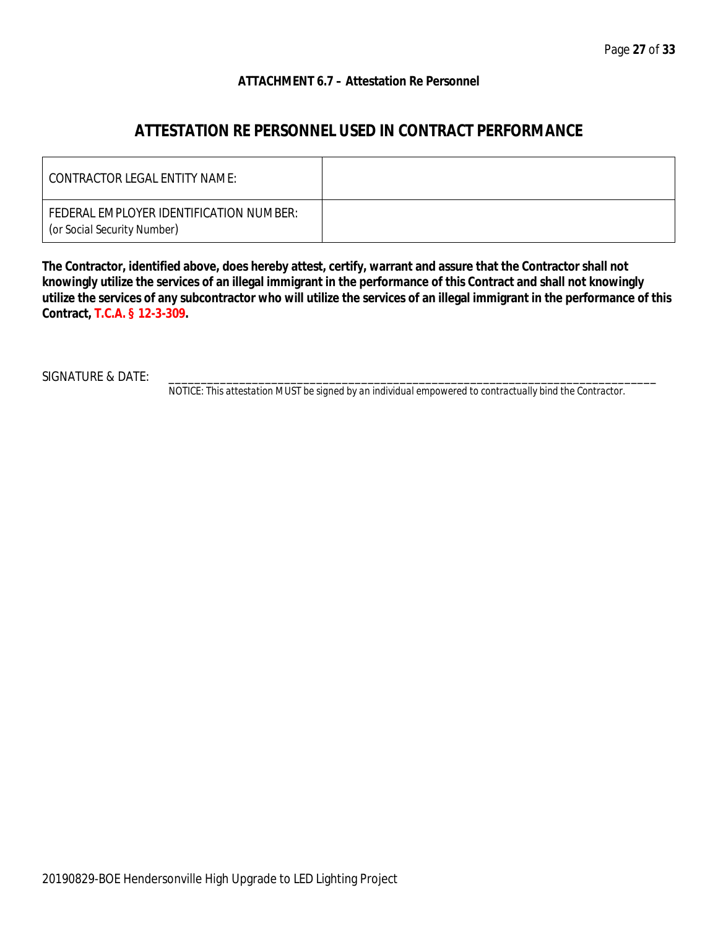### **ATTACHMENT 6.7 – Attestation Re Personnel**

### **ATTESTATION RE PERSONNEL USED IN CONTRACT PERFORMANCE**

| CONTRACTOR LEGAL ENTITY NAME:                                          |  |
|------------------------------------------------------------------------|--|
| FEDERAL EMPLOYER IDENTIFICATION NUMBER:<br>(or Social Security Number) |  |

**The Contractor, identified above, does hereby attest, certify, warrant and assure that the Contractor shall not knowingly utilize the services of an illegal immigrant in the performance of this Contract and shall not knowingly utilize the services of any subcontractor who will utilize the services of an illegal immigrant in the performance of this Contract, T.C.A. § 12-3-309.**

SIGNATURE & DATE:

*NOTICE: This attestation MUST be signed by an individual empowered to contractually bind the Contractor.*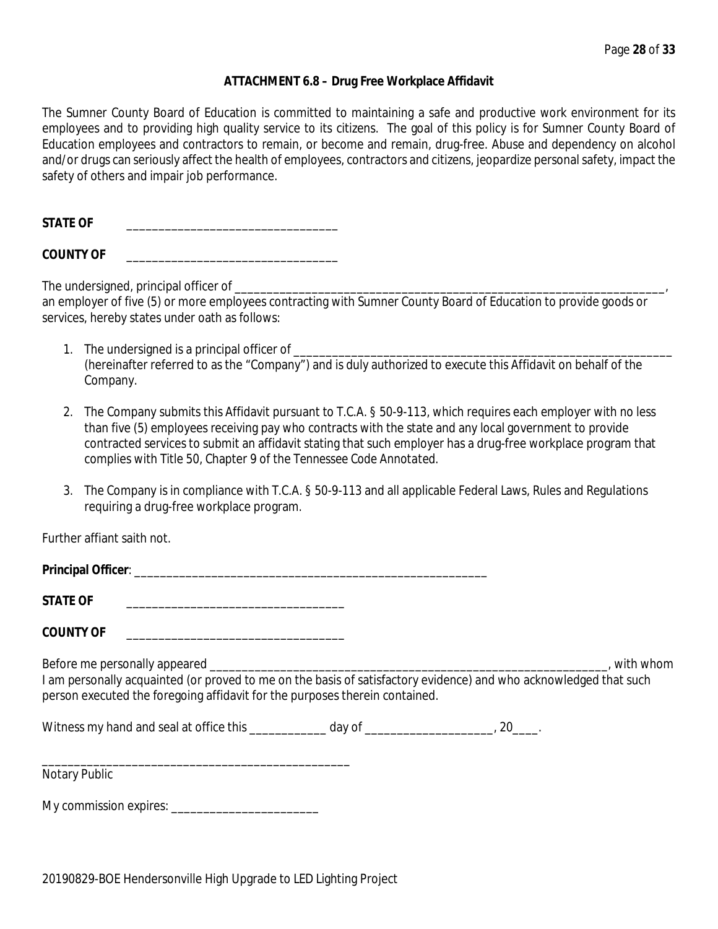### **ATTACHMENT 6.8 – Drug Free Workplace Affidavit**

The Sumner County Board of Education is committed to maintaining a safe and productive work environment for its employees and to providing high quality service to its citizens. The goal of this policy is for Sumner County Board of Education employees and contractors to remain, or become and remain, drug-free. Abuse and dependency on alcohol and/or drugs can seriously affect the health of employees, contractors and citizens, jeopardize personal safety, impact the safety of others and impair job performance.

STATE OF

**COUNTY OF** \_\_\_\_\_\_\_\_\_\_\_\_\_\_\_\_\_\_\_\_\_\_\_\_\_\_\_\_\_\_\_\_\_

The undersigned, principal officer of

an employer of five (5) or more employees contracting with Sumner County Board of Education to provide goods or services, hereby states under oath as follows:

- 1. The undersigned is a principal officer of (hereinafter referred to as the "Company") and is duly authorized to execute this Affidavit on behalf of the Company.
- 2. The Company submits this Affidavit pursuant to T.C.A. § 50-9-113, which requires each employer with no less than five (5) employees receiving pay who contracts with the state and any local government to provide contracted services to submit an affidavit stating that such employer has a drug-free workplace program that complies with Title 50, Chapter 9 of the *Tennessee Code Annotated*.
- 3. The Company is in compliance with T.C.A. § 50-9-113 and all applicable Federal Laws, Rules and Regulations requiring a drug-free workplace program.

Further affiant saith not.

| <b>Principal Officer:</b> |  |
|---------------------------|--|
|                           |  |

STATE OF

**COUNTY OF** \_\_\_\_\_\_\_\_\_\_\_\_\_\_\_\_\_\_\_\_\_\_\_\_\_\_\_\_\_\_\_\_\_\_

Before me personally appeared \_\_\_\_\_\_\_\_\_\_\_\_\_\_\_\_\_\_\_\_\_\_\_\_\_\_\_\_\_\_\_\_\_\_\_\_\_\_\_\_\_\_\_\_\_\_\_\_\_\_\_\_\_\_\_\_\_\_\_\_\_\_, with whom I am personally acquainted (or proved to me on the basis of satisfactory evidence) and who acknowledged that such person executed the foregoing affidavit for the purposes therein contained.

Witness my hand and seal at office this \_\_\_\_\_\_\_\_\_\_\_\_\_ day of \_\_\_\_\_\_\_\_\_\_\_\_\_\_\_\_\_\_\_\_, 20\_\_\_\_.

\_\_\_\_\_\_\_\_\_\_\_\_\_\_\_\_\_\_\_\_\_\_\_\_\_\_\_\_\_\_\_\_\_\_\_\_\_\_\_\_\_\_\_\_\_\_\_\_ Notary Public

My commission expires: \_\_\_\_\_\_\_\_\_\_\_\_\_\_\_\_\_\_\_\_\_\_\_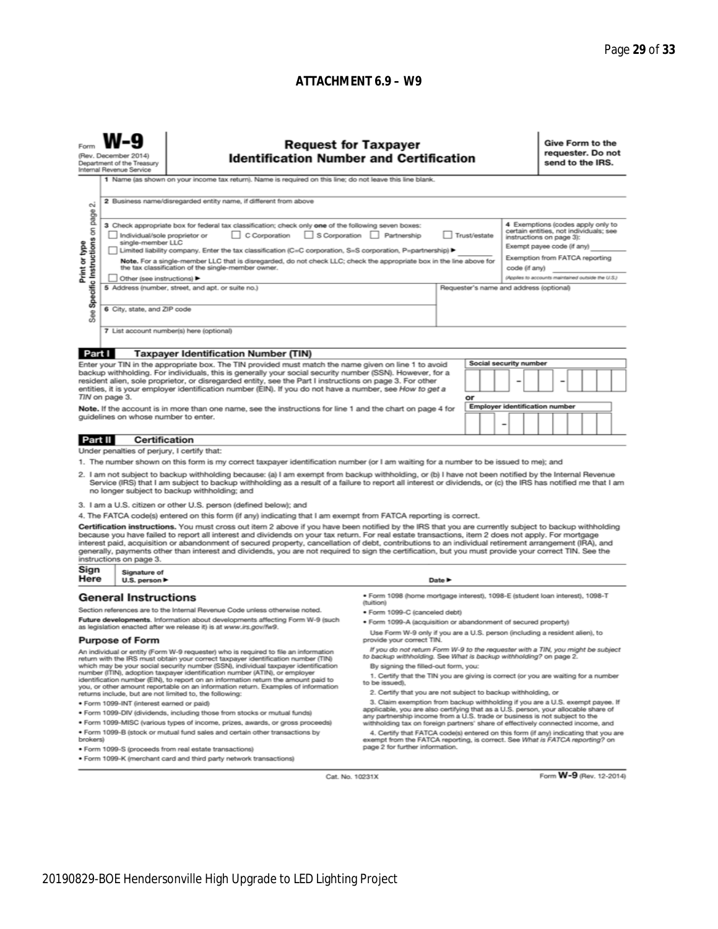### **ATTACHMENT 6.9 – W9**

| (Rev. December 2014)<br>Department of the Treasury<br>Internal Revenue Service                                                                                                                                                                                                                                                                                                                                                                                                                                                                                                                                                                                            |                                                                                                                                                                                                                                                                                                                                                                              | <b>Request for Taxpayer</b><br><b>Identification Number and Certification</b><br>1 Name (as shown on your income tax return). Name is required on this line; do not leave this line blank.<br>2 Business name/disregarded entity name, if different from above                                                                                                                                                                                                                                                                                                                                                                                                                                                                                                                                                                                                                                                                                                                                                                                                                                                                                                                                                                                                                                                                      |                                                                                                                                                                                                                                                                                                                                                                                                                                                                                                                                                                                                                                                                                                                                                                                                                                                                                                                                                                                                                                                                                                                                                                                                                                     |        |  |  |                                                                                                                                                                                                                              | Give Form to the<br>requester. Do not<br>send to the IRS. |  |                         |  |
|---------------------------------------------------------------------------------------------------------------------------------------------------------------------------------------------------------------------------------------------------------------------------------------------------------------------------------------------------------------------------------------------------------------------------------------------------------------------------------------------------------------------------------------------------------------------------------------------------------------------------------------------------------------------------|------------------------------------------------------------------------------------------------------------------------------------------------------------------------------------------------------------------------------------------------------------------------------------------------------------------------------------------------------------------------------|-------------------------------------------------------------------------------------------------------------------------------------------------------------------------------------------------------------------------------------------------------------------------------------------------------------------------------------------------------------------------------------------------------------------------------------------------------------------------------------------------------------------------------------------------------------------------------------------------------------------------------------------------------------------------------------------------------------------------------------------------------------------------------------------------------------------------------------------------------------------------------------------------------------------------------------------------------------------------------------------------------------------------------------------------------------------------------------------------------------------------------------------------------------------------------------------------------------------------------------------------------------------------------------------------------------------------------------|-------------------------------------------------------------------------------------------------------------------------------------------------------------------------------------------------------------------------------------------------------------------------------------------------------------------------------------------------------------------------------------------------------------------------------------------------------------------------------------------------------------------------------------------------------------------------------------------------------------------------------------------------------------------------------------------------------------------------------------------------------------------------------------------------------------------------------------------------------------------------------------------------------------------------------------------------------------------------------------------------------------------------------------------------------------------------------------------------------------------------------------------------------------------------------------------------------------------------------------|--------|--|--|------------------------------------------------------------------------------------------------------------------------------------------------------------------------------------------------------------------------------|-----------------------------------------------------------|--|-------------------------|--|
| $\sim$<br>page<br>Specific Instructions on<br>Print or type<br><b>See</b>                                                                                                                                                                                                                                                                                                                                                                                                                                                                                                                                                                                                 | 3 Check appropriate box for federal tax classification; check only one of the following seven boxes:<br>Individual/sole proprietor or<br>single-member LLC<br>the tax classification of the single-member owner.<br>Other (see instructions)<br>5 Address (number, street, and apt. or suite no.)<br>6 City, state, and ZIP code<br>7 List account number(s) here (optional) | S Corporation Partnership<br>Trust/estate<br>Limited liability company. Enter the tax classification (C=C corporation, S=S corporation, P=partnership) ▶<br>Note. For a single-member LLC that is disregarded, do not check LLC; check the appropriate box in the line above for<br>code (if any)<br>Requester's name and address (optional)                                                                                                                                                                                                                                                                                                                                                                                                                                                                                                                                                                                                                                                                                                                                                                                                                                                                                                                                                                                        |                                                                                                                                                                                                                                                                                                                                                                                                                                                                                                                                                                                                                                                                                                                                                                                                                                                                                                                                                                                                                                                                                                                                                                                                                                     |        |  |  | 4 Exemptions (codes apply only to<br>certain entities, not individuals; see<br>instructions on page 3):<br>Exempt payee code (if any)<br>Exemption from FATCA reporting<br>(Applies to accounts maintained outside the U.S.) |                                                           |  |                         |  |
| Part I<br><b>Taxpayer Identification Number (TIN)</b><br>Enter your TIN in the appropriate box. The TIN provided must match the name given on line 1 to avoid<br>backup withholding. For individuals, this is generally your social security number (SSN). However, for a<br>resident alien, sole proprietor, or disregarded entity, see the Part I instructions on page 3. For other<br>entities, it is your employer identification number (EIN). If you do not have a number, see How to get a<br>TIN on page 3.<br>Note. If the account is in more than one name, see the instructions for line 1 and the chart on page 4 for<br>quidelines on whose number to enter. |                                                                                                                                                                                                                                                                                                                                                                              |                                                                                                                                                                                                                                                                                                                                                                                                                                                                                                                                                                                                                                                                                                                                                                                                                                                                                                                                                                                                                                                                                                                                                                                                                                                                                                                                     | Social security number<br>or<br><b>Employer identification number</b>                                                                                                                                                                                                                                                                                                                                                                                                                                                                                                                                                                                                                                                                                                                                                                                                                                                                                                                                                                                                                                                                                                                                                               |        |  |  |                                                                                                                                                                                                                              |                                                           |  |                         |  |
| Part II                                                                                                                                                                                                                                                                                                                                                                                                                                                                                                                                                                                                                                                                   | <b>Certification</b><br>Under penalties of perjury, I certify that:<br>instructions on page 3.                                                                                                                                                                                                                                                                               | 1. The number shown on this form is my correct taxpayer identification number (or I am waiting for a number to be issued to me); and<br>2. I am not subject to backup withholding because: (a) I am exempt from backup withholding, or (b) I have not been notified by the Internal Revenue<br>Service (IRS) that I am subject to backup withholding as a result of a failure to report all interest or dividends, or (c) the IRS has notified me that I am<br>no longer subject to backup withholding; and<br>3. I am a U.S. citizen or other U.S. person (defined below); and<br>4. The FATCA code(s) entered on this form (if any) indicating that I am exempt from FATCA reporting is correct.<br>Certification instructions. You must cross out item 2 above if you have been notified by the IRS that you are currently subject to backup withholding<br>because you have failed to report all interest and dividends on your tax return. For real estate transactions, item 2 does not apply. For mortgage<br>interest paid, acquisition or abandonment of secured property, cancellation of debt, contributions to an individual retirement arrangement (IRA), and<br>generally, payments other than interest and dividends, you are not required to sign the certification, but you must provide your correct TIN. See the |                                                                                                                                                                                                                                                                                                                                                                                                                                                                                                                                                                                                                                                                                                                                                                                                                                                                                                                                                                                                                                                                                                                                                                                                                                     |        |  |  |                                                                                                                                                                                                                              |                                                           |  |                         |  |
| Sign<br>Here                                                                                                                                                                                                                                                                                                                                                                                                                                                                                                                                                                                                                                                              | Signature of<br>U.S. person ▶                                                                                                                                                                                                                                                                                                                                                |                                                                                                                                                                                                                                                                                                                                                                                                                                                                                                                                                                                                                                                                                                                                                                                                                                                                                                                                                                                                                                                                                                                                                                                                                                                                                                                                     |                                                                                                                                                                                                                                                                                                                                                                                                                                                                                                                                                                                                                                                                                                                                                                                                                                                                                                                                                                                                                                                                                                                                                                                                                                     | Date P |  |  |                                                                                                                                                                                                                              |                                                           |  |                         |  |
| brokers)                                                                                                                                                                                                                                                                                                                                                                                                                                                                                                                                                                                                                                                                  | <b>General Instructions</b><br><b>Purpose of Form</b><br>· Form 1099-INT (interest earned or paid)                                                                                                                                                                                                                                                                           | Section references are to the Internal Revenue Code unless otherwise noted.<br>Future developments. Information about developments affecting Form W-9 (such<br>as legislation enacted after we release it) is at www.irs.gov/fw9.<br>An individual or entity (Form W-9 requester) who is required to file an information<br>return with the IRS must obtain your correct taxpayer identification number (TIN)<br>which may be your social security number (SSN), individual taxpayer identification<br>number (ITIN), adoption taxpayer identification number (ATIN), or employer<br>identification number (EIN), to report on an information return the amount paid to<br>you, or other amount reportable on an information return. Examples of information<br>returns include, but are not limited to, the following:<br>. Form 1099-DIV (dividends, including those from stocks or mutual funds)<br>. Form 1099-MISC (various types of income, prizes, awards, or gross proceeds)<br>. Form 1099-B (stock or mutual fund sales and certain other transactions by<br>· Form 1099-S (proceeds from real estate transactions)<br>. Form 1099-K (merchant card and third party network transactions)                                                                                                                                 | ● Form 1098 (home mortgage interest), 1098-E (student Ioan interest), 1098-T<br>(tuition)<br>· Form 1099-C (canceled debt)<br>. Form 1099-A (acquisition or abandonment of secured property)<br>Use Form W-9 only if you are a U.S. person (including a resident alien), to<br>provide your correct TIN.<br>If you do not return Form W-9 to the requester with a TIN, you might be subject<br>to backup withholding. See What is backup withholding? on page 2.<br>By signing the filled-out form, you:<br>1. Certify that the TIN you are giving is correct (or you are waiting for a number<br>to be issued).<br>2. Certify that you are not subject to backup withholding, or<br>3. Claim exemption from backup withholding if you are a U.S. exempt payee. If<br>applicable, you are also certifying that as a U.S. person, your allocable share of<br>any partnership income from a U.S. trade or business is not subject to the<br>withholding tax on foreign partners' share of effectively connected income, and<br>4. Certify that FATCA code(s) entered on this form (if any) indicating that you are<br>exempt from the FATCA reporting, is correct. See What is FATCA reporting? on<br>page 2 for further information. |        |  |  |                                                                                                                                                                                                                              |                                                           |  |                         |  |
|                                                                                                                                                                                                                                                                                                                                                                                                                                                                                                                                                                                                                                                                           |                                                                                                                                                                                                                                                                                                                                                                              | Cat. No. 10231X                                                                                                                                                                                                                                                                                                                                                                                                                                                                                                                                                                                                                                                                                                                                                                                                                                                                                                                                                                                                                                                                                                                                                                                                                                                                                                                     |                                                                                                                                                                                                                                                                                                                                                                                                                                                                                                                                                                                                                                                                                                                                                                                                                                                                                                                                                                                                                                                                                                                                                                                                                                     |        |  |  |                                                                                                                                                                                                                              |                                                           |  | Form W-9 (Rev. 12-2014) |  |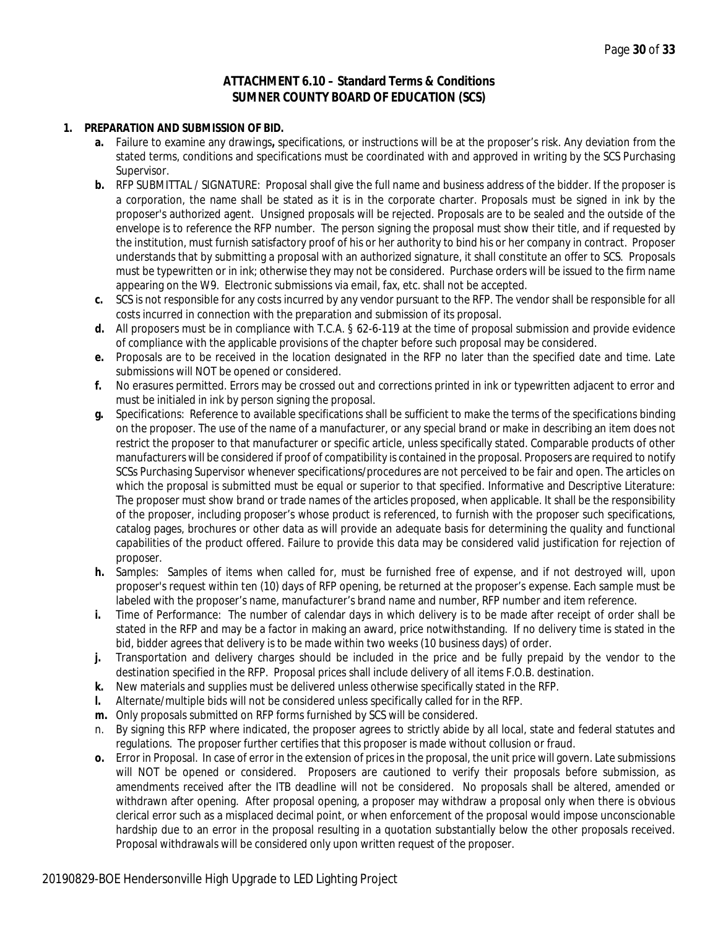### **ATTACHMENT 6.10 – Standard Terms & Conditions SUMNER COUNTY BOARD OF EDUCATION (SCS)**

#### **1. PREPARATION AND SUBMISSION OF BID.**

- **a.** Failure to examine any drawings**,** specifications, or instructions will be at the proposer's risk. Any deviation from the stated terms, conditions and specifications must be coordinated with and approved in writing by the SCS Purchasing Supervisor.
- **b.** RFP SUBMITTAL / SIGNATURE: Proposal shall give the full name and business address of the bidder. If the proposer is a corporation, the name shall be stated as it is in the corporate charter. Proposals must be signed in ink by the proposer's authorized agent. Unsigned proposals will be rejected. Proposals are to be sealed and the outside of the envelope is to reference the RFP number. The person signing the proposal must show their title, and if requested by the institution, must furnish satisfactory proof of his or her authority to bind his or her company in contract. Proposer understands that by submitting a proposal with an authorized signature, it shall constitute an offer to SCS. Proposals must be typewritten or in ink; otherwise they may not be considered. Purchase orders will be issued to the firm name appearing on the W9. Electronic submissions via email, fax, etc. shall not be accepted.
- **c.** SCS is not responsible for any costs incurred by any vendor pursuant to the RFP. The vendor shall be responsible for all costs incurred in connection with the preparation and submission of its proposal.
- **d.** All proposers must be in compliance with T.C.A. § 62-6-119 at the time of proposal submission and provide evidence of compliance with the applicable provisions of the chapter before such proposal may be considered.
- **e.** Proposals are to be received in the location designated in the RFP no later than the specified date and time. Late submissions will NOT be opened or considered.
- **f.** No erasures permitted. Errors may be crossed out and corrections printed in ink or typewritten adjacent to error and must be initialed in ink by person signing the proposal.
- **g.** Specifications: Reference to available specifications shall be sufficient to make the terms of the specifications binding on the proposer. The use of the name of a manufacturer, or any special brand or make in describing an item does not restrict the proposer to that manufacturer or specific article, unless specifically stated. Comparable products of other manufacturers will be considered if proof of compatibility is contained in the proposal. Proposers are required to notify SCSs Purchasing Supervisor whenever specifications/procedures are not perceived to be fair and open. The articles on which the proposal is submitted must be equal or superior to that specified. Informative and Descriptive Literature: The proposer must show brand or trade names of the articles proposed, when applicable. It shall be the responsibility of the proposer, including proposer's whose product is referenced, to furnish with the proposer such specifications, catalog pages, brochures or other data as will provide an adequate basis for determining the quality and functional capabilities of the product offered. Failure to provide this data may be considered valid justification for rejection of proposer.
- **h.** Samples: Samples of items when called for, must be furnished free of expense, and if not destroyed will, upon proposer's request within ten (10) days of RFP opening, be returned at the proposer's expense. Each sample must be labeled with the proposer's name, manufacturer's brand name and number, RFP number and item reference.
- **i.** Time of Performance: The number of calendar days in which delivery is to be made after receipt of order shall be stated in the RFP and may be a factor in making an award, price notwithstanding. If no delivery time is stated in the bid, bidder agrees that delivery is to be made within two weeks (10 business days) of order.
- **j.** Transportation and delivery charges should be included in the price and be fully prepaid by the vendor to the destination specified in the RFP. Proposal prices shall include delivery of all items F.O.B. destination.
- **k.** New materials and supplies must be delivered unless otherwise specifically stated in the RFP.
- **l.** Alternate/multiple bids will not be considered unless specifically called for in the RFP.
- **m.** Only proposals submitted on RFP forms furnished by SCS will be considered.
- n. By signing this RFP where indicated, the proposer agrees to strictly abide by all local, state and federal statutes and regulations. The proposer further certifies that this proposer is made without collusion or fraud.
- **o.** Error in Proposal. In case of error in the extension of prices in the proposal, the unit price will govern. Late submissions will NOT be opened or considered. Proposers are cautioned to verify their proposals before submission, as amendments received after the ITB deadline will not be considered. No proposals shall be altered, amended or withdrawn after opening. After proposal opening, a proposer may withdraw a proposal only when there is obvious clerical error such as a misplaced decimal point, or when enforcement of the proposal would impose unconscionable hardship due to an error in the proposal resulting in a quotation substantially below the other proposals received. Proposal withdrawals will be considered only upon written request of the proposer.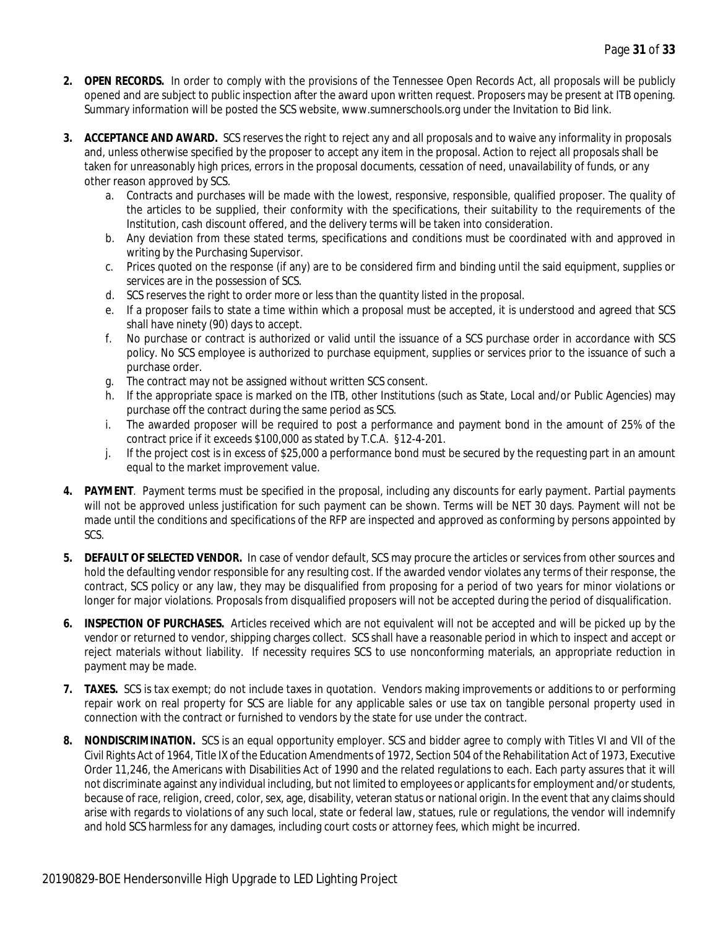- **2. OPEN RECORDS.** In order to comply with the provisions of the Tennessee Open Records Act, all proposals will be publicly opened and are subject to public inspection after the award upon written request. Proposers may be present at ITB opening. Summary information will be posted the SCS website, www.sumnerschools.org under the Invitation to Bid link.
- **3. ACCEPTANCE AND AWARD.** SCS reserves the right to reject any and all proposals and to waive any informality in proposals and, unless otherwise specified by the proposer to accept any item in the proposal. Action to reject all proposals shall be taken for unreasonably high prices, errors in the proposal documents, cessation of need, unavailability of funds, or any other reason approved by SCS.
	- a. Contracts and purchases will be made with the lowest, responsive, responsible, qualified proposer. The quality of the articles to be supplied, their conformity with the specifications, their suitability to the requirements of the Institution, cash discount offered, and the delivery terms will be taken into consideration.
	- b. Any deviation from these stated terms, specifications and conditions must be coordinated with and approved in writing by the Purchasing Supervisor.
	- c. Prices quoted on the response (if any) are to be considered firm and binding until the said equipment, supplies or services are in the possession of SCS.
	- d. SCS reserves the right to order more or less than the quantity listed in the proposal.
	- e. If a proposer fails to state a time within which a proposal must be accepted, it is understood and agreed that SCS shall have ninety (90) days to accept.
	- f. No purchase or contract is authorized or valid until the issuance of a SCS purchase order in accordance with SCS policy. No SCS employee is authorized to purchase equipment, supplies or services prior to the issuance of such a purchase order.
	- g. The contract may not be assigned without written SCS consent.
	- h. If the appropriate space is marked on the ITB, other Institutions (such as State, Local and/or Public Agencies) may purchase off the contract during the same period as SCS.
	- i. The awarded proposer will be required to post a performance and payment bond in the amount of 25% of the contract price if it exceeds \$100,000 as stated by T.C.A. §12-4-201.
	- j. If the project cost is in excess of \$25,000 a performance bond must be secured by the requesting part in an amount equal to the market improvement value.
- **4. PAYMENT**. Payment terms must be specified in the proposal, including any discounts for early payment. Partial payments will not be approved unless justification for such payment can be shown. Terms will be NET 30 days. Payment will not be made until the conditions and specifications of the RFP are inspected and approved as conforming by persons appointed by SCS.
- **5. DEFAULT OF SELECTED VENDOR.** In case of vendor default, SCS may procure the articles or services from other sources and hold the defaulting vendor responsible for any resulting cost. If the awarded vendor violates any terms of their response, the contract, SCS policy or any law, they may be disqualified from proposing for a period of two years for minor violations or longer for major violations. Proposals from disqualified proposers will not be accepted during the period of disqualification.
- **6. INSPECTION OF PURCHASES.** Articles received which are not equivalent will not be accepted and will be picked up by the vendor or returned to vendor, shipping charges collect. SCS shall have a reasonable period in which to inspect and accept or reject materials without liability. If necessity requires SCS to use nonconforming materials, an appropriate reduction in payment may be made.
- **7. TAXES.** SCS is tax exempt; do not include taxes in quotation. Vendors making improvements or additions to or performing repair work on real property for SCS are liable for any applicable sales or use tax on tangible personal property used in connection with the contract or furnished to vendors by the state for use under the contract.
- **8. NONDISCRIMINATION.** SCS is an equal opportunity employer. SCS and bidder agree to comply with Titles VI and VII of the Civil Rights Act of 1964, Title IX of the Education Amendments of 1972, Section 504 of the Rehabilitation Act of 1973, Executive Order 11,246, the Americans with Disabilities Act of 1990 and the related regulations to each. Each party assures that it will not discriminate against any individual including, but not limited to employees or applicants for employment and/or students, because of race, religion, creed, color, sex, age, disability, veteran status or national origin. In the event that any claims should arise with regards to violations of any such local, state or federal law, statues, rule or regulations, the vendor will indemnify and hold SCS harmless for any damages, including court costs or attorney fees, which might be incurred.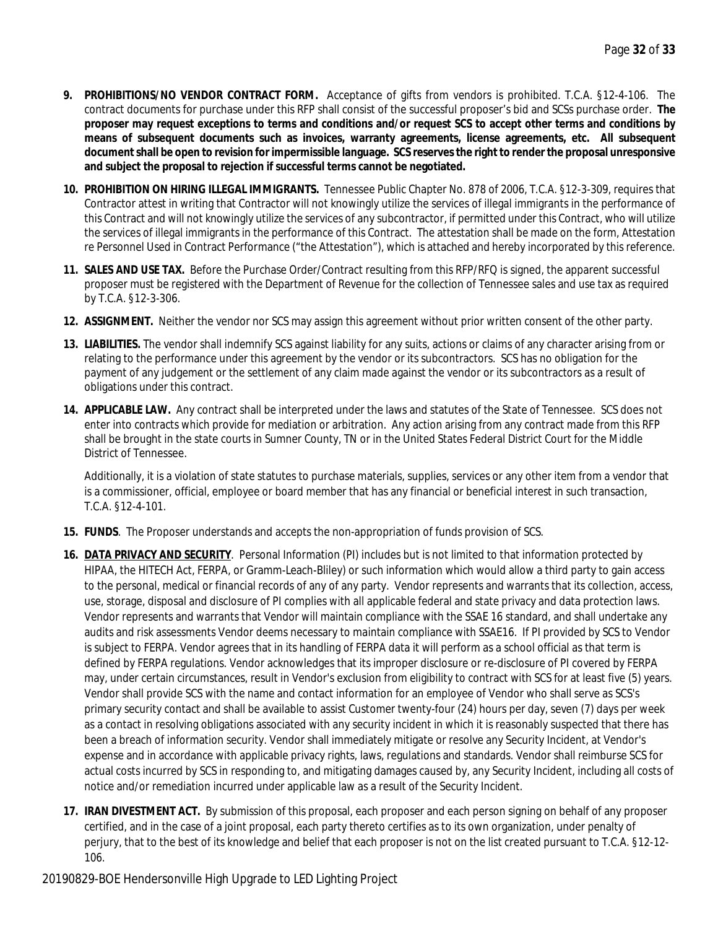- **9. PROHIBITIONS/NO VENDOR CONTRACT FORM.** Acceptance of gifts from vendors is prohibited. T.C.A. §12-4-106. The contract documents for purchase under this RFP shall consist of the successful proposer's bid and SCSs purchase order. **The proposer may request exceptions to terms and conditions and/or request SCS to accept other terms and conditions by means of subsequent documents such as invoices, warranty agreements, license agreements, etc. All subsequent document shall be open to revision for impermissible language. SCS reserves the right to render the proposal unresponsive and subject the proposal to rejection if successful terms cannot be negotiated.**
- **10. PROHIBITION ON HIRING ILLEGAL IMMIGRANTS.** Tennessee Public Chapter No. 878 of 2006, T.C.A. §12-3-309, requires that Contractor attest in writing that Contractor will not knowingly utilize the services of illegal immigrants in the performance of this Contract and will not knowingly utilize the services of any subcontractor, if permitted under this Contract, who will utilize the services of illegal immigrants in the performance of this Contract. The attestation shall be made on the form, Attestation re Personnel Used in Contract Performance ("the Attestation"), which is attached and hereby incorporated by this reference.
- **11. SALES AND USE TAX.** Before the Purchase Order/Contract resulting from this RFP/RFQ is signed, the apparent successful proposer must be registered with the Department of Revenue for the collection of Tennessee sales and use tax as required by T.C.A. §12-3-306.
- **12. ASSIGNMENT.** Neither the vendor nor SCS may assign this agreement without prior written consent of the other party.
- **13. LIABILITIES.** The vendor shall indemnify SCS against liability for any suits, actions or claims of any character arising from or relating to the performance under this agreement by the vendor or its subcontractors. SCS has no obligation for the payment of any judgement or the settlement of any claim made against the vendor or its subcontractors as a result of obligations under this contract.
- **14. APPLICABLE LAW.** Any contract shall be interpreted under the laws and statutes of the State of Tennessee. SCS does not enter into contracts which provide for mediation or arbitration. Any action arising from any contract made from this RFP shall be brought in the state courts in Sumner County, TN or in the United States Federal District Court for the Middle District of Tennessee.

Additionally, it is a violation of state statutes to purchase materials, supplies, services or any other item from a vendor that is a commissioner, official, employee or board member that has any financial or beneficial interest in such transaction, T.C.A. §12-4-101.

- **15. FUNDS**. The Proposer understands and accepts the non-appropriation of funds provision of SCS.
- **16. DATA PRIVACY AND SECURITY**. Personal Information (PI) includes but is not limited to that information protected by HIPAA, the HITECH Act, FERPA, or Gramm-Leach-Bliley) or such information which would allow a third party to gain access to the personal, medical or financial records of any of any party. Vendor represents and warrants that its collection, access, use, storage, disposal and disclosure of PI complies with all applicable federal and state privacy and data protection laws. Vendor represents and warrants that Vendor will maintain compliance with the SSAE 16 standard, and shall undertake any audits and risk assessments Vendor deems necessary to maintain compliance with SSAE16. If PI provided by SCS to Vendor is subject to FERPA. Vendor agrees that in its handling of FERPA data it will perform as a school official as that term is defined by FERPA regulations. Vendor acknowledges that its improper disclosure or re-disclosure of PI covered by FERPA may, under certain circumstances, result in Vendor's exclusion from eligibility to contract with SCS for at least five (5) years. Vendor shall provide SCS with the name and contact information for an employee of Vendor who shall serve as SCS's primary security contact and shall be available to assist Customer twenty-four (24) hours per day, seven (7) days per week as a contact in resolving obligations associated with any security incident in which it is reasonably suspected that there has been a breach of information security. Vendor shall immediately mitigate or resolve any Security Incident, at Vendor's expense and in accordance with applicable privacy rights, laws, regulations and standards. Vendor shall reimburse SCS for actual costs incurred by SCS in responding to, and mitigating damages caused by, any Security Incident, including all costs of notice and/or remediation incurred under applicable law as a result of the Security Incident.
- **17. IRAN DIVESTMENT ACT.** By submission of this proposal, each proposer and each person signing on behalf of any proposer certified, and in the case of a joint proposal, each party thereto certifies as to its own organization, under penalty of perjury, that to the best of its knowledge and belief that each proposer is not on the list created pursuant to T.C.A. §12-12- 106.